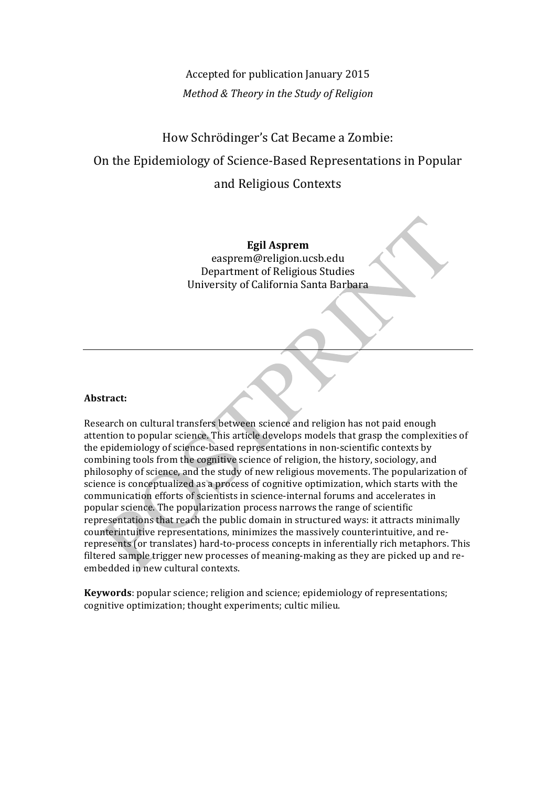Accepted for publication January 2015 *Method & Theory in the Study of Religion*

How Schrödinger's Cat Became a Zombie:

On the Epidemiology of Science-Based Representations in Popular

## and Religious Contexts

**Egil Asprem** easprem@religion.ucsb.edu Department of Religious Studies University of California Santa Barbara

#### **Abstract:**

Research on cultural transfers between science and religion has not paid enough attention to popular science. This article develops models that grasp the complexities of the epidemiology of science-based representations in non-scientific contexts by combining tools from the cognitive science of religion, the history, sociology, and philosophy of science, and the study of new religious movements. The popularization of science is conceptualized as a process of cognitive optimization, which starts with the communication efforts of scientists in science-internal forums and accelerates in popular science. The popularization process narrows the range of scientific representations that reach the public domain in structured ways: it attracts minimally counterintuitive representations, minimizes the massively counterintuitive, and rerepresents (or translates) hard-to-process concepts in inferentially rich metaphors. This filtered sample trigger new processes of meaning-making as they are picked up and reembedded in new cultural contexts.

**Keywords**: popular science; religion and science; epidemiology of representations; cognitive optimization; thought experiments; cultic milieu.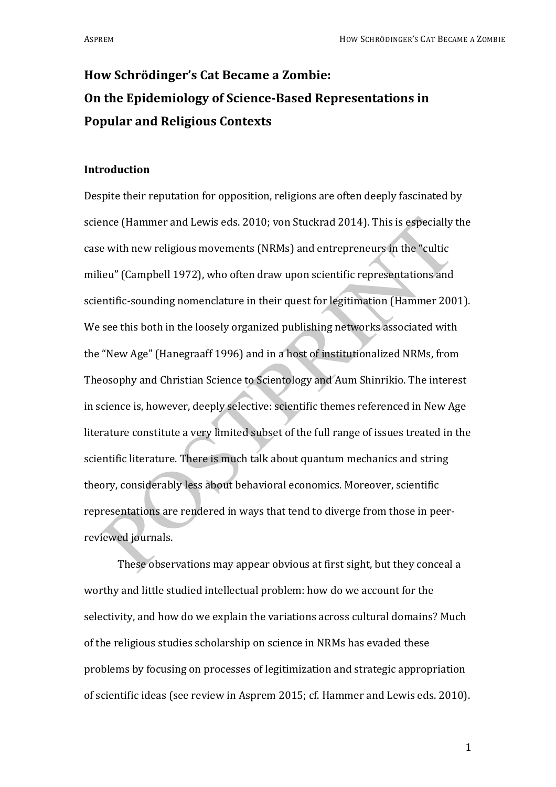# **How Schrödinger's Cat Became a Zombie: On the Epidemiology of Science-Based Representations in Popular and Religious Contexts**

## **Introduction**

Despite their reputation for opposition, religions are often deeply fascinated by science (Hammer and Lewis eds. 2010; von Stuckrad 2014). This is especially the case with new religious movements (NRMs) and entrepreneurs in the "cultic milieu" (Campbell 1972), who often draw upon scientific representations and scientific-sounding nomenclature in their quest for legitimation (Hammer 2001). We see this both in the loosely organized publishing networks associated with the "New Age" (Hanegraaff 1996) and in a host of institutionalized NRMs, from Theosophy and Christian Science to Scientology and Aum Shinrikio. The interest in science is, however, deeply selective: scientific themes referenced in New Age literature constitute a very limited subset of the full range of issues treated in the scientific literature. There is much talk about quantum mechanics and string theory, considerably less about behavioral economics. Moreover, scientific representations are rendered in ways that tend to diverge from those in peerreviewed journals.

These observations may appear obvious at first sight, but they conceal a worthy and little studied intellectual problem: how do we account for the selectivity, and how do we explain the variations across cultural domains? Much of the religious studies scholarship on science in NRMs has evaded these problems by focusing on processes of legitimization and strategic appropriation of scientific ideas (see review in Asprem 2015; cf. Hammer and Lewis eds. 2010).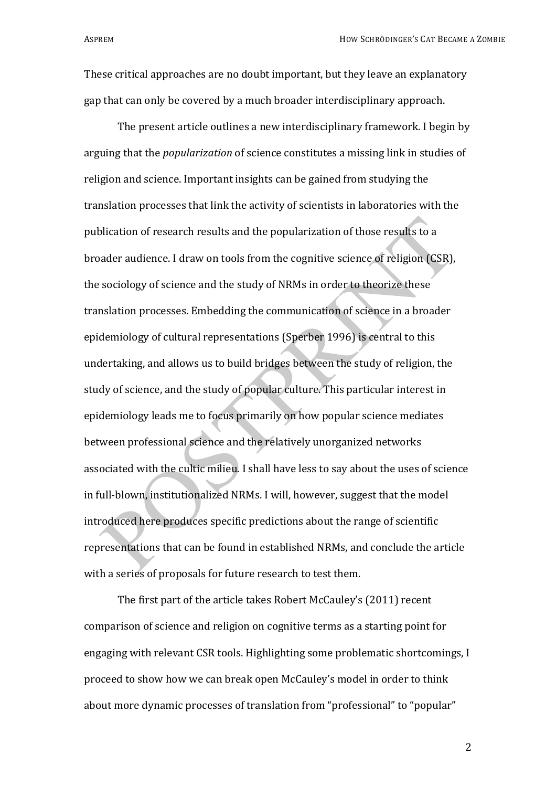These critical approaches are no doubt important, but they leave an explanatory gap that can only be covered by a much broader interdisciplinary approach.

The present article outlines a new interdisciplinary framework. I begin by arguing that the *popularization* of science constitutes a missing link in studies of religion and science. Important insights can be gained from studying the translation processes that link the activity of scientists in laboratories with the publication of research results and the popularization of those results to a broader audience. I draw on tools from the cognitive science of religion (CSR), the sociology of science and the study of NRMs in order to theorize these translation processes. Embedding the communication of science in a broader epidemiology of cultural representations (Sperber 1996) is central to this undertaking, and allows us to build bridges between the study of religion, the study of science, and the study of popular culture. This particular interest in epidemiology leads me to focus primarily on how popular science mediates between professional science and the relatively unorganized networks associated with the cultic milieu. I shall have less to say about the uses of science in full-blown, institutionalized NRMs. I will, however, suggest that the model introduced here produces specific predictions about the range of scientific representations that can be found in established NRMs, and conclude the article with a series of proposals for future research to test them.

The first part of the article takes Robert McCauley's (2011) recent comparison of science and religion on cognitive terms as a starting point for engaging with relevant CSR tools. Highlighting some problematic shortcomings, I proceed to show how we can break open McCauley's model in order to think about more dynamic processes of translation from "professional" to "popular"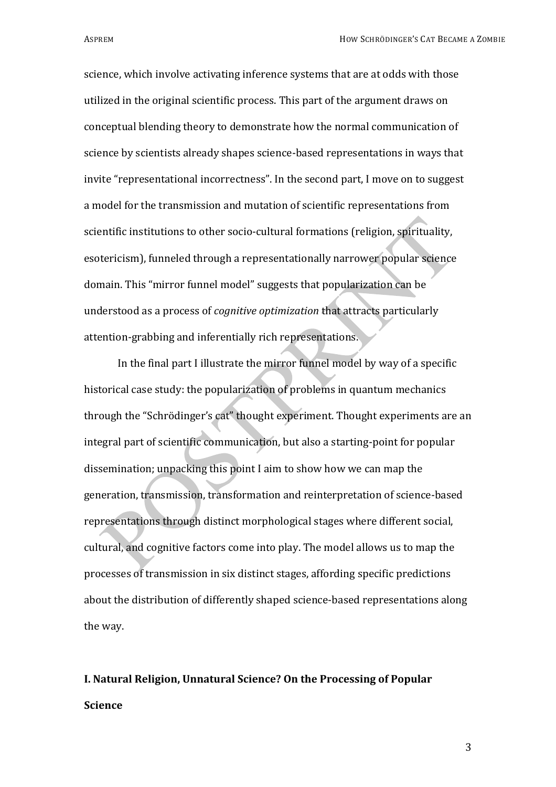science, which involve activating inference systems that are at odds with those utilized in the original scientific process. This part of the argument draws on conceptual blending theory to demonstrate how the normal communication of science by scientists already shapes science-based representations in ways that invite "representational incorrectness". In the second part, I move on to suggest a model for the transmission and mutation of scientific representations from scientific institutions to other socio-cultural formations (religion, spirituality, esotericism), funneled through a representationally narrower popular science domain. This "mirror funnel model" suggests that popularization can be understood as a process of *cognitive optimization* that attracts particularly attention-grabbing and inferentially rich representations.

In the final part I illustrate the mirror funnel model by way of a specific historical case study: the popularization of problems in quantum mechanics through the "Schrödinger's cat" thought experiment. Thought experiments are an integral part of scientific communication, but also a starting-point for popular dissemination; unpacking this point I aim to show how we can map the generation, transmission, transformation and reinterpretation of science-based representations through distinct morphological stages where different social, cultural, and cognitive factors come into play. The model allows us to map the processes of transmission in six distinct stages, affording specific predictions about the distribution of differently shaped science-based representations along the way.

## **I. Natural Religion, Unnatural Science? On the Processing of Popular Science**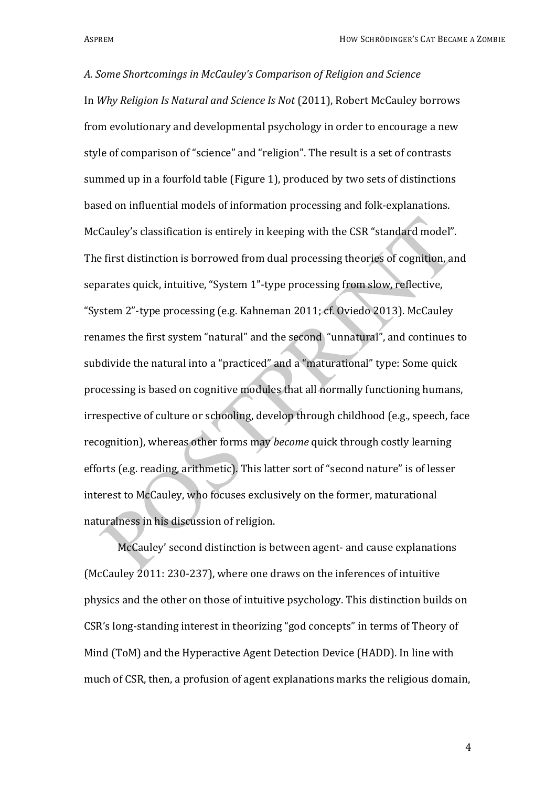*A. Some Shortcomings in McCauley's Comparison of Religion and Science* In *Why Religion Is Natural and Science Is Not* (2011), Robert McCauley borrows from evolutionary and developmental psychology in order to encourage a new style of comparison of "science" and "religion". The result is a set of contrasts summed up in a fourfold table (Figure 1), produced by two sets of distinctions based on influential models of information processing and folk-explanations. McCauley's classification is entirely in keeping with the CSR "standard model". The first distinction is borrowed from dual processing theories of cognition, and separates quick, intuitive, "System 1"-type processing from slow, reflective, "System 2"-type processing (e.g. Kahneman 2011; cf. Oviedo 2013). McCauley renames the first system "natural" and the second "unnatural", and continues to subdivide the natural into a "practiced" and a "maturational" type: Some quick processing is based on cognitive modules that all normally functioning humans, irrespective of culture or schooling, develop through childhood (e.g., speech, face recognition), whereas other forms may *become* quick through costly learning efforts (e.g. reading, arithmetic). This latter sort of "second nature" is of lesser interest to McCauley, who focuses exclusively on the former, maturational naturalness in his discussion of religion.

McCauley' second distinction is between agent- and cause explanations (McCauley 2011: 230-237), where one draws on the inferences of intuitive physics and the other on those of intuitive psychology. This distinction builds on CSR's long-standing interest in theorizing "god concepts" in terms of Theory of Mind (ToM) and the Hyperactive Agent Detection Device (HADD). In line with much of CSR, then, a profusion of agent explanations marks the religious domain,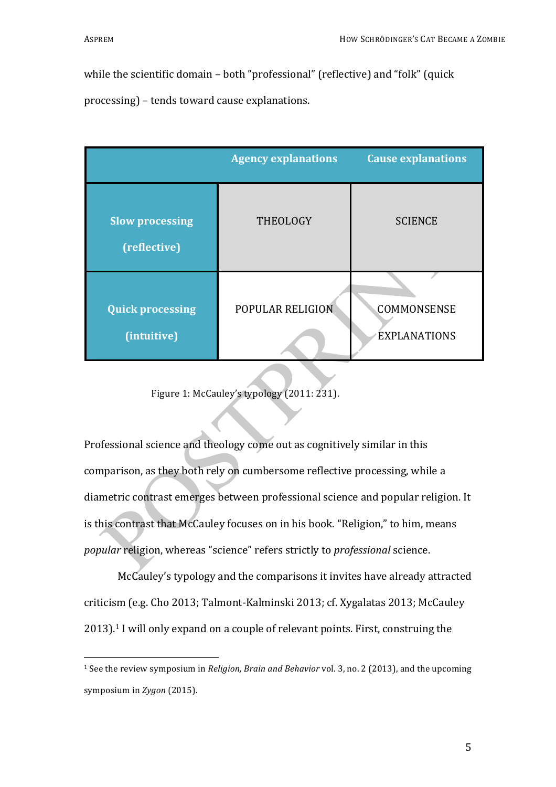$\overline{a}$ 

while the scientific domain – both "professional" (reflective) and "folk" (quick processing) – tends toward cause explanations.

|                                        | <b>Agency explanations</b> | <b>Cause explanations</b>          |
|----------------------------------------|----------------------------|------------------------------------|
| <b>Slow processing</b><br>(reflective) | <b>THEOLOGY</b>            | <b>SCIENCE</b>                     |
| <b>Quick processing</b><br>(intuitive) | POPULAR RELIGION           | COMMONSENSE<br><b>EXPLANATIONS</b> |

Figure 1: McCauley's typology (2011: 231).

Professional science and theology come out as cognitively similar in this comparison, as they both rely on cumbersome reflective processing, while a diametric contrast emerges between professional science and popular religion. It is this contrast that McCauley focuses on in his book. "Religion," to him, means *popular* religion, whereas "science" refers strictly to *professional* science.

McCauley's typology and the comparisons it invites have already attracted criticism (e.g. Cho 2013; Talmont-Kalminski 2013; cf. Xygalatas 2013; McCauley 2013).1 I will only expand on a couple of relevant points. First, construing the

<sup>1</sup> See the review symposium in *Religion, Brain and Behavior* vol. 3, no. 2 (2013), and the upcoming symposium in *Zygon* (2015).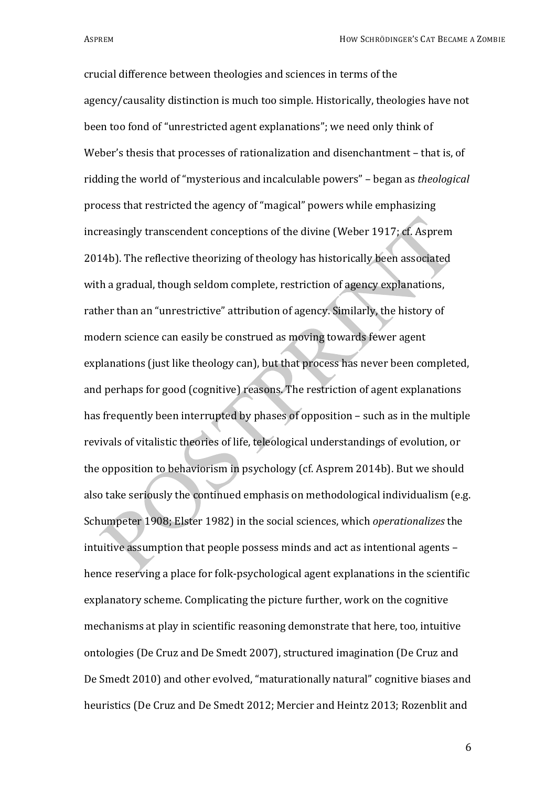crucial difference between theologies and sciences in terms of the agency/causality distinction is much too simple. Historically, theologies have not been too fond of "unrestricted agent explanations"; we need only think of Weber's thesis that processes of rationalization and disenchantment – that is, of ridding the world of "mysterious and incalculable powers" – began as *theological* process that restricted the agency of "magical" powers while emphasizing increasingly transcendent conceptions of the divine (Weber 1917; cf. Asprem 2014b). The reflective theorizing of theology has historically been associated with a gradual, though seldom complete, restriction of agency explanations, rather than an "unrestrictive" attribution of agency. Similarly, the history of modern science can easily be construed as moving towards fewer agent explanations (just like theology can), but that process has never been completed, and perhaps for good (cognitive) reasons. The restriction of agent explanations has frequently been interrupted by phases of opposition – such as in the multiple revivals of vitalistic theories of life, teleological understandings of evolution, or the opposition to behaviorism in psychology (cf. Asprem 2014b). But we should also take seriously the continued emphasis on methodological individualism (e.g. Schumpeter 1908; Elster 1982) in the social sciences, which *operationalizes* the intuitive assumption that people possess minds and act as intentional agents – hence reserving a place for folk-psychological agent explanations in the scientific explanatory scheme. Complicating the picture further, work on the cognitive mechanisms at play in scientific reasoning demonstrate that here, too, intuitive ontologies (De Cruz and De Smedt 2007), structured imagination (De Cruz and De Smedt 2010) and other evolved, "maturationally natural" cognitive biases and heuristics (De Cruz and De Smedt 2012; Mercier and Heintz 2013; Rozenblit and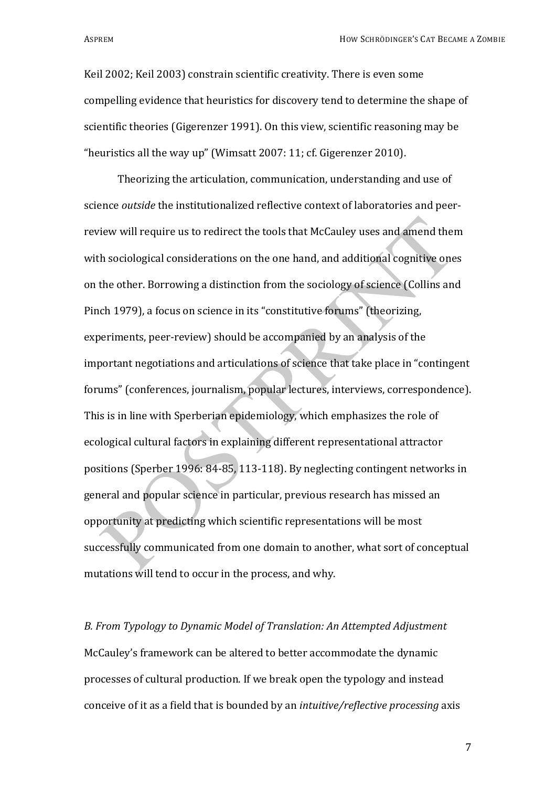Keil 2002; Keil 2003) constrain scientific creativity. There is even some compelling evidence that heuristics for discovery tend to determine the shape of scientific theories (Gigerenzer 1991). On this view, scientific reasoning may be "heuristics all the way up" (Wimsatt 2007: 11; cf. Gigerenzer 2010).

Theorizing the articulation, communication, understanding and use of science *outside* the institutionalized reflective context of laboratories and peerreview will require us to redirect the tools that McCauley uses and amend them with sociological considerations on the one hand, and additional cognitive ones on the other. Borrowing a distinction from the sociology of science (Collins and Pinch 1979), a focus on science in its "constitutive forums" (theorizing, experiments, peer-review) should be accompanied by an analysis of the important negotiations and articulations of science that take place in "contingent forums" (conferences, journalism, popular lectures, interviews, correspondence). This is in line with Sperberian epidemiology, which emphasizes the role of ecological cultural factors in explaining different representational attractor positions (Sperber 1996: 84-85, 113-118). By neglecting contingent networks in general and popular science in particular, previous research has missed an opportunity at predicting which scientific representations will be most successfully communicated from one domain to another, what sort of conceptual mutations will tend to occur in the process, and why.

*B. From Typology to Dynamic Model of Translation: An Attempted Adjustment* McCauley's framework can be altered to better accommodate the dynamic processes of cultural production. If we break open the typology and instead conceive of it as a field that is bounded by an *intuitive/reflective processing* axis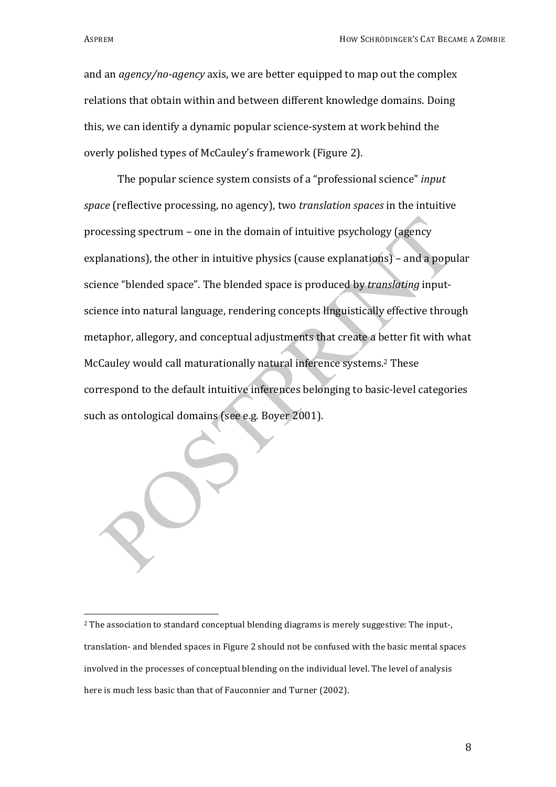$\overline{a}$ 

and an *agency/no-agency* axis, we are better equipped to map out the complex relations that obtain within and between different knowledge domains. Doing this, we can identify a dynamic popular science-system at work behind the overly polished types of McCauley's framework (Figure 2).

The popular science system consists of a "professional science" *input space* (reflective processing, no agency), two *translation spaces* in the intuitive processing spectrum – one in the domain of intuitive psychology (agency explanations), the other in intuitive physics (cause explanations) – and a popular science "blended space". The blended space is produced by *translating* inputscience into natural language, rendering concepts linguistically effective through metaphor, allegory, and conceptual adjustments that create a better fit with what McCauley would call maturationally natural inference systems.2 These correspond to the default intuitive inferences belonging to basic-level categories such as ontological domains (see e.g. Boyer 2001).

<sup>2</sup> The association to standard conceptual blending diagrams is merely suggestive: The input-, translation- and blended spaces in Figure 2 should not be confused with the basic mental spaces involved in the processes of conceptual blending on the individual level. The level of analysis here is much less basic than that of Fauconnier and Turner (2002).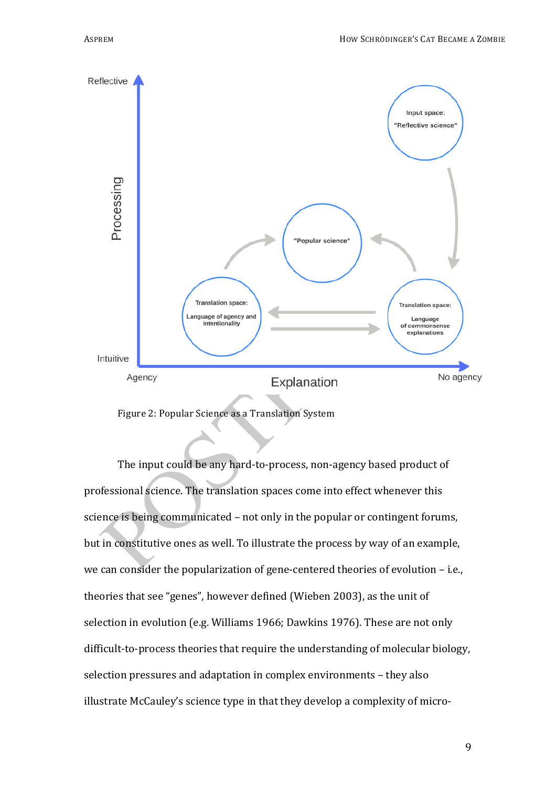

Figure 2: Popular Science as a Translation System

The input could be any hard-to-process, non-agency based product of professional science. The translation spaces come into effect whenever this science is being communicated – not only in the popular or contingent forums, but in constitutive ones as well. To illustrate the process by way of an example, we can consider the popularization of gene-centered theories of evolution – i.e., theories that see "genes", however defined (Wieben 2003), as the unit of selection in evolution (e.g. Williams 1966; Dawkins 1976). These are not only difficult-to-process theories that require the understanding of molecular biology, selection pressures and adaptation in complex environments – they also illustrate McCauley's science type in that they develop a complexity of micro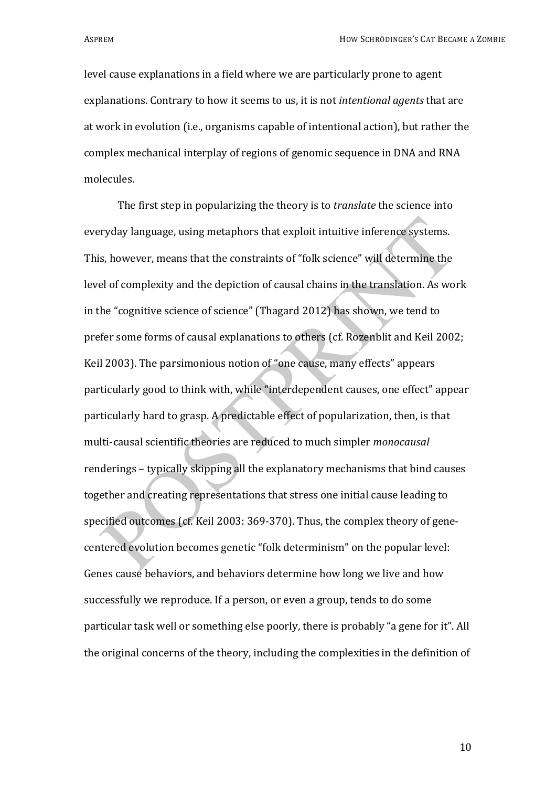level cause explanations in a field where we are particularly prone to agent explanations. Contrary to how it seems to us, it is not *intentional agents* that are at work in evolution (i.e., organisms capable of intentional action), but rather the complex mechanical interplay of regions of genomic sequence in DNA and RNA molecules.

The first step in popularizing the theory is to *translate* the science into everyday language, using metaphors that exploit intuitive inference systems. This, however, means that the constraints of "folk science" will determine the level of complexity and the depiction of causal chains in the translation. As work in the "cognitive science of science" (Thagard 2012) has shown, we tend to prefer some forms of causal explanations to others (cf. Rozenblit and Keil 2002; Keil 2003). The parsimonious notion of "one cause, many effects" appears particularly good to think with, while "interdependent causes, one effect" appear particularly hard to grasp. A predictable effect of popularization, then, is that multi-causal scientific theories are reduced to much simpler *monocausal* renderings – typically skipping all the explanatory mechanisms that bind causes together and creating representations that stress one initial cause leading to specified outcomes (cf. Keil 2003: 369-370). Thus, the complex theory of genecentered evolution becomes genetic "folk determinism" on the popular level: Genes cause behaviors, and behaviors determine how long we live and how successfully we reproduce. If a person, or even a group, tends to do some particular task well or something else poorly, there is probably "a gene for it". All the original concerns of the theory, including the complexities in the definition of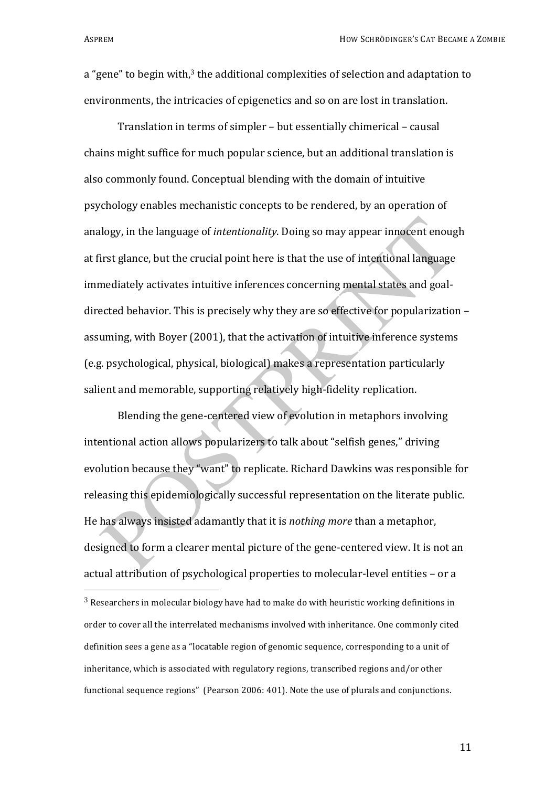a "gene" to begin with,<sup>3</sup> the additional complexities of selection and adaptation to environments, the intricacies of epigenetics and so on are lost in translation.

Translation in terms of simpler – but essentially chimerical – causal chains might suffice for much popular science, but an additional translation is also commonly found. Conceptual blending with the domain of intuitive psychology enables mechanistic concepts to be rendered, by an operation of analogy, in the language of *intentionality*. Doing so may appear innocent enough at first glance, but the crucial point here is that the use of intentional language immediately activates intuitive inferences concerning mental states and goaldirected behavior. This is precisely why they are so effective for popularization – assuming, with Boyer (2001), that the activation of intuitive inference systems (e.g. psychological, physical, biological) makes a representation particularly salient and memorable, supporting relatively high-fidelity replication.

Blending the gene-centered view of evolution in metaphors involving intentional action allows popularizers to talk about "selfish genes," driving evolution because they "want" to replicate. Richard Dawkins was responsible for releasing this epidemiologically successful representation on the literate public. He has always insisted adamantly that it is *nothing more* than a metaphor, designed to form a clearer mental picture of the gene-centered view. It is not an actual attribution of psychological properties to molecular-level entities – or a  $\overline{a}$ <sup>3</sup> Researchers in molecular biology have had to make do with heuristic working definitions in order to cover all the interrelated mechanisms involved with inheritance. One commonly cited definition sees a gene as a "locatable region of genomic sequence, corresponding to a unit of inheritance, which is associated with regulatory regions, transcribed regions and/or other functional sequence regions" (Pearson 2006: 401). Note the use of plurals and conjunctions.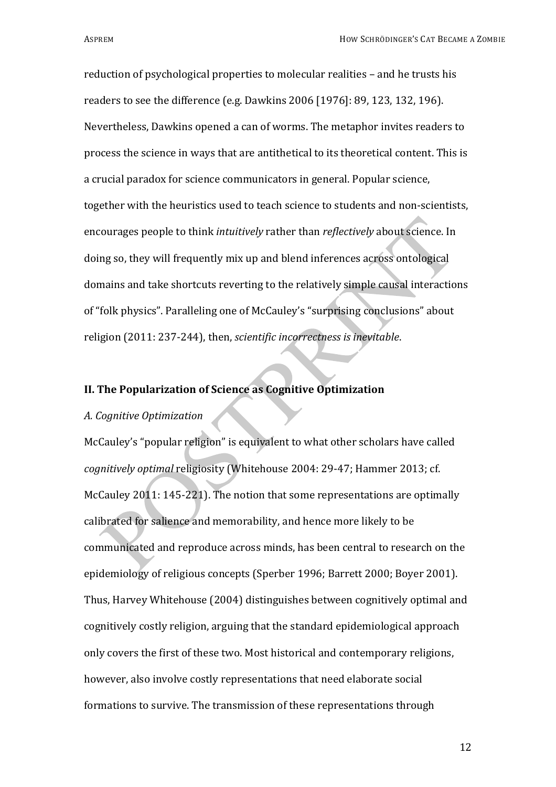reduction of psychological properties to molecular realities – and he trusts his readers to see the difference (e.g. Dawkins 2006 [1976]: 89, 123, 132, 196). Nevertheless, Dawkins opened a can of worms. The metaphor invites readers to process the science in ways that are antithetical to its theoretical content. This is a crucial paradox for science communicators in general. Popular science, together with the heuristics used to teach science to students and non-scientists, encourages people to think *intuitively* rather than *reflectively* about science. In doing so, they will frequently mix up and blend inferences across ontological domains and take shortcuts reverting to the relatively simple causal interactions of "folk physics". Paralleling one of McCauley's "surprising conclusions" about religion (2011: 237-244), then, *scientific incorrectness is inevitable*.

#### **II. The Popularization of Science as Cognitive Optimization**

#### *A. Cognitive Optimization*

McCauley's "popular religion" is equivalent to what other scholars have called *cognitively optimal* religiosity (Whitehouse 2004: 29-47; Hammer 2013; cf. McCauley 2011: 145-221). The notion that some representations are optimally calibrated for salience and memorability, and hence more likely to be communicated and reproduce across minds, has been central to research on the epidemiology of religious concepts (Sperber 1996; Barrett 2000; Boyer 2001). Thus, Harvey Whitehouse (2004) distinguishes between cognitively optimal and cognitively costly religion, arguing that the standard epidemiological approach only covers the first of these two. Most historical and contemporary religions, however, also involve costly representations that need elaborate social formations to survive. The transmission of these representations through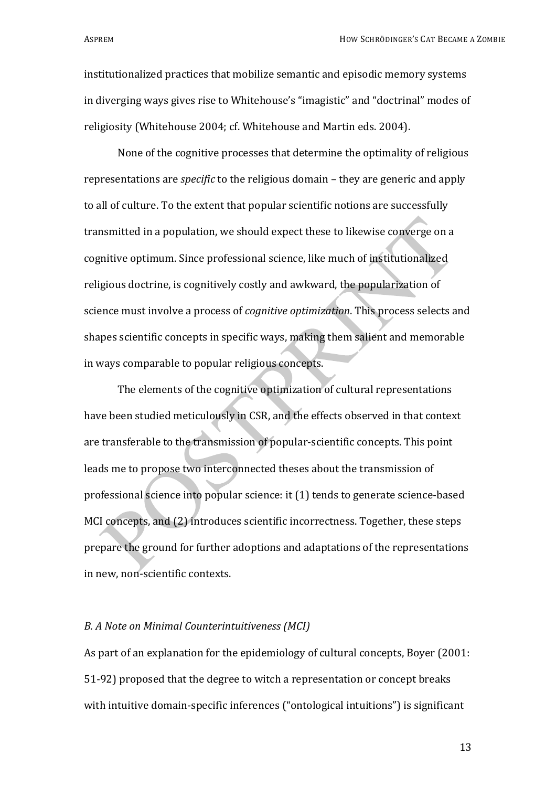institutionalized practices that mobilize semantic and episodic memory systems in diverging ways gives rise to Whitehouse's "imagistic" and "doctrinal" modes of religiosity (Whitehouse 2004; cf. Whitehouse and Martin eds. 2004).

None of the cognitive processes that determine the optimality of religious representations are *specific* to the religious domain – they are generic and apply to all of culture. To the extent that popular scientific notions are successfully transmitted in a population, we should expect these to likewise converge on a cognitive optimum. Since professional science, like much of institutionalized religious doctrine, is cognitively costly and awkward, the popularization of science must involve a process of *cognitive optimization*. This process selects and shapes scientific concepts in specific ways, making them salient and memorable in ways comparable to popular religious concepts.

The elements of the cognitive optimization of cultural representations have been studied meticulously in CSR, and the effects observed in that context are transferable to the transmission of popular-scientific concepts. This point leads me to propose two interconnected theses about the transmission of professional science into popular science: it (1) tends to generate science-based MCI concepts, and (2) introduces scientific incorrectness. Together, these steps prepare the ground for further adoptions and adaptations of the representations in new, non-scientific contexts.

#### *B. A Note on Minimal Counterintuitiveness (MCI)*

As part of an explanation for the epidemiology of cultural concepts, Boyer (2001: 51-92) proposed that the degree to witch a representation or concept breaks with intuitive domain-specific inferences ("ontological intuitions") is significant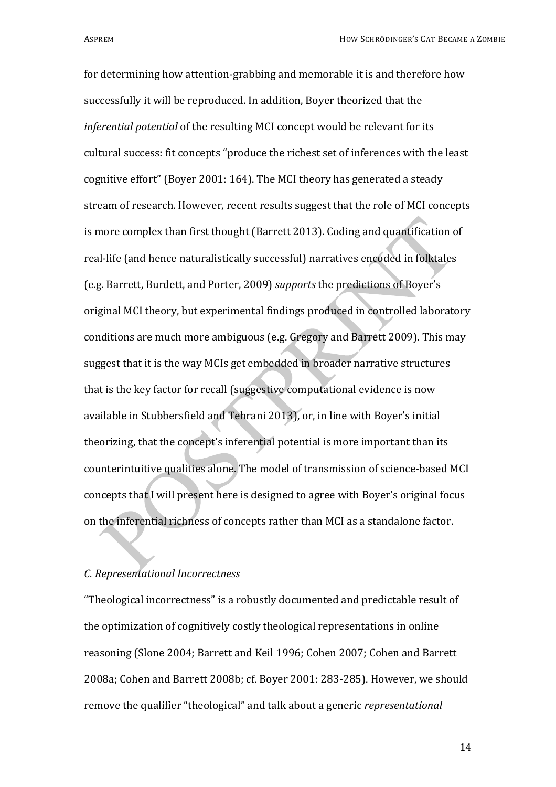for determining how attention-grabbing and memorable it is and therefore how successfully it will be reproduced. In addition, Boyer theorized that the *inferential potential* of the resulting MCI concept would be relevant for its cultural success: fit concepts "produce the richest set of inferences with the least cognitive effort" (Boyer 2001: 164). The MCI theory has generated a steady stream of research. However, recent results suggest that the role of MCI concepts is more complex than first thought (Barrett 2013). Coding and quantification of real-life (and hence naturalistically successful) narratives encoded in folktales (e.g. Barrett, Burdett, and Porter, 2009) *supports* the predictions of Boyer's original MCI theory, but experimental findings produced in controlled laboratory conditions are much more ambiguous (e.g. Gregory and Barrett 2009). This may suggest that it is the way MCIs get embedded in broader narrative structures that is the key factor for recall (suggestive computational evidence is now available in Stubbersfield and Tehrani 2013), or, in line with Boyer's initial theorizing, that the concept's inferential potential is more important than its counterintuitive qualities alone. The model of transmission of science-based MCI concepts that I will present here is designed to agree with Boyer's original focus on the inferential richness of concepts rather than MCI as a standalone factor.

### *C. Representational Incorrectness*

"Theological incorrectness" is a robustly documented and predictable result of the optimization of cognitively costly theological representations in online reasoning (Slone 2004; Barrett and Keil 1996; Cohen 2007; Cohen and Barrett 2008a; Cohen and Barrett 2008b; cf. Boyer 2001: 283-285). However, we should remove the qualifier "theological" and talk about a generic *representational*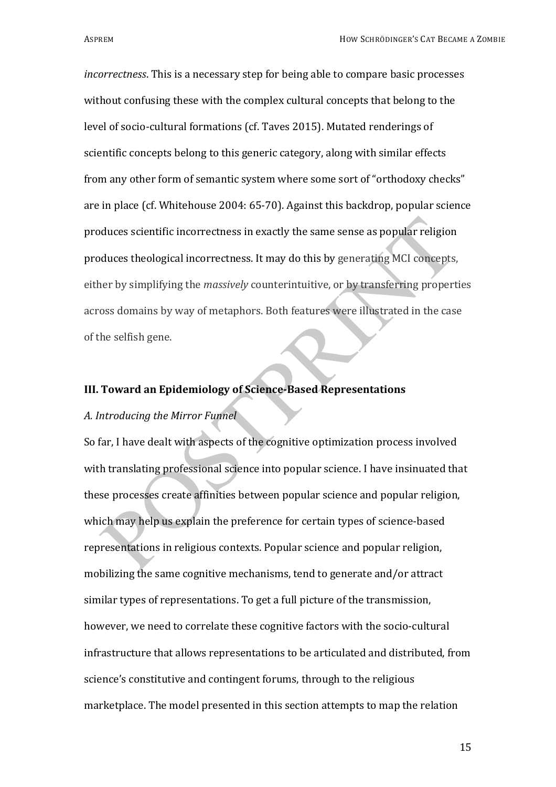*incorrectness*. This is a necessary step for being able to compare basic processes without confusing these with the complex cultural concepts that belong to the level of socio-cultural formations (cf. Taves 2015). Mutated renderings of scientific concepts belong to this generic category, along with similar effects from any other form of semantic system where some sort of "orthodoxy checks" are in place (cf. Whitehouse 2004: 65-70). Against this backdrop, popular science produces scientific incorrectness in exactly the same sense as popular religion produces theological incorrectness. It may do this by generating MCI concepts, either by simplifying the *massively* counterintuitive, or by transferring properties across domains by way of metaphors. Both features were illustrated in the case of the selfish gene.

#### **III. Toward an Epidemiology of Science-Based Representations**

### *A. Introducing the Mirror Funnel*

So far, I have dealt with aspects of the cognitive optimization process involved with translating professional science into popular science. I have insinuated that these processes create affinities between popular science and popular religion, which may help us explain the preference for certain types of science-based representations in religious contexts. Popular science and popular religion, mobilizing the same cognitive mechanisms, tend to generate and/or attract similar types of representations. To get a full picture of the transmission, however, we need to correlate these cognitive factors with the socio-cultural infrastructure that allows representations to be articulated and distributed, from science's constitutive and contingent forums, through to the religious marketplace. The model presented in this section attempts to map the relation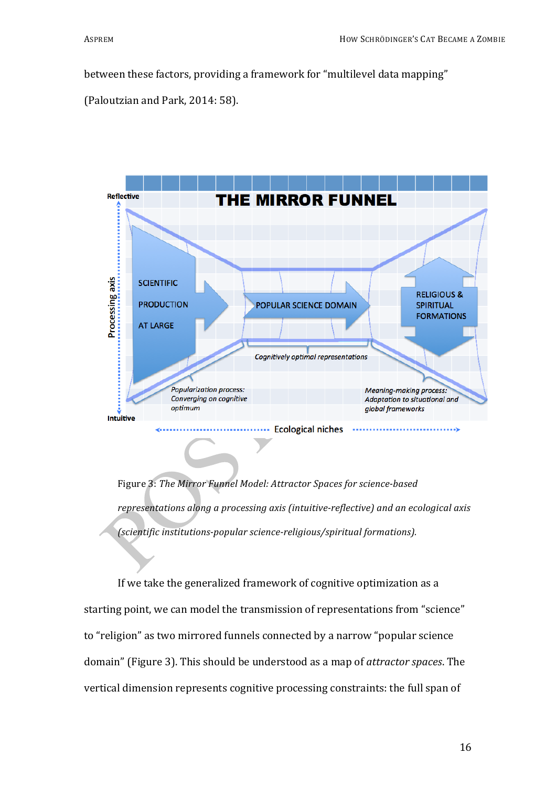between these factors, providing a framework for "multilevel data mapping"

(Paloutzian and Park, 2014: 58).



Figure 3: *The Mirror Funnel Model: Attractor Spaces for science-based representations along a processing axis (intuitive-reflective) and an ecological axis (scientific institutions-popular science-religious/spiritual formations).*

If we take the generalized framework of cognitive optimization as a starting point, we can model the transmission of representations from "science" to "religion" as two mirrored funnels connected by a narrow "popular science domain" (Figure 3). This should be understood as a map of *attractor spaces*. The vertical dimension represents cognitive processing constraints: the full span of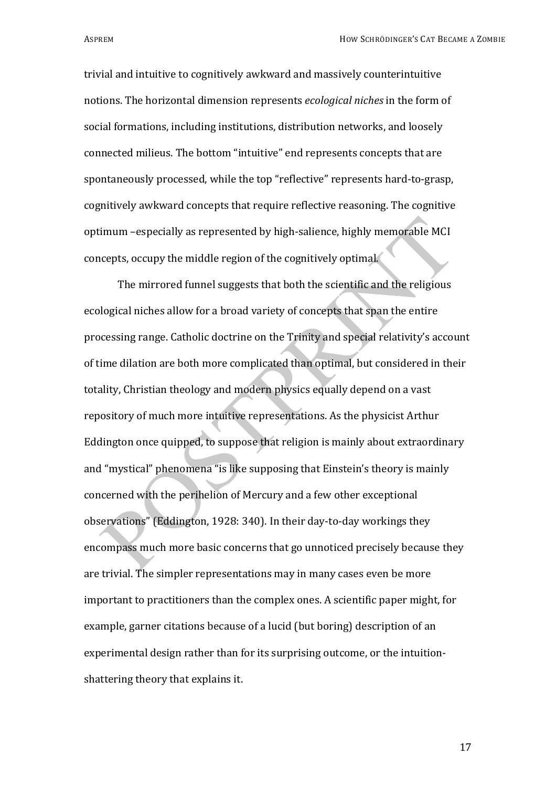trivial and intuitive to cognitively awkward and massively counterintuitive notions. The horizontal dimension represents *ecological niches* in the form of social formations, including institutions, distribution networks, and loosely connected milieus. The bottom "intuitive" end represents concepts that are spontaneously processed, while the top "reflective" represents hard-to-grasp, cognitively awkward concepts that require reflective reasoning. The cognitive optimum –especially as represented by high-salience, highly memorable MCI concepts, occupy the middle region of the cognitively optimal.

The mirrored funnel suggests that both the scientific and the religious ecological niches allow for a broad variety of concepts that span the entire processing range. Catholic doctrine on the Trinity and special relativity's account of time dilation are both more complicated than optimal, but considered in their totality, Christian theology and modern physics equally depend on a vast repository of much more intuitive representations. As the physicist Arthur Eddington once quipped, to suppose that religion is mainly about extraordinary and "mystical" phenomena "is like supposing that Einstein's theory is mainly concerned with the perihelion of Mercury and a few other exceptional observations" (Eddington, 1928: 340). In their day-to-day workings they encompass much more basic concerns that go unnoticed precisely because they are trivial. The simpler representations may in many cases even be more important to practitioners than the complex ones. A scientific paper might, for example, garner citations because of a lucid (but boring) description of an experimental design rather than for its surprising outcome, or the intuitionshattering theory that explains it.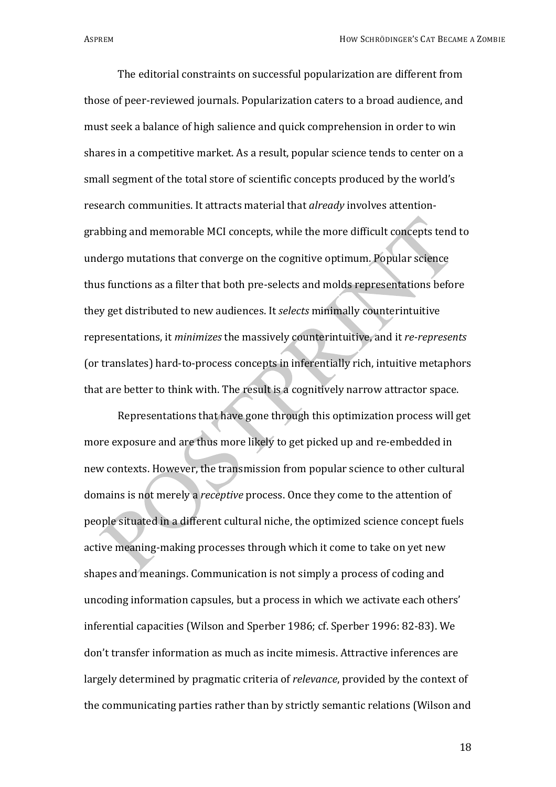The editorial constraints on successful popularization are different from those of peer-reviewed journals. Popularization caters to a broad audience, and must seek a balance of high salience and quick comprehension in order to win shares in a competitive market. As a result, popular science tends to center on a small segment of the total store of scientific concepts produced by the world's research communities. It attracts material that *already* involves attentiongrabbing and memorable MCI concepts, while the more difficult concepts tend to undergo mutations that converge on the cognitive optimum. Popular science thus functions as a filter that both pre-selects and molds representations before they get distributed to new audiences. It *selects* minimally counterintuitive representations, it *minimizes* the massively counterintuitive, and it *re-represents* (or translates) hard-to-process concepts in inferentially rich, intuitive metaphors that are better to think with. The result is a cognitively narrow attractor space.

Representations that have gone through this optimization process will get more exposure and are thus more likely to get picked up and re-embedded in new contexts. However, the transmission from popular science to other cultural domains is not merely a *receptive* process. Once they come to the attention of people situated in a different cultural niche, the optimized science concept fuels active meaning-making processes through which it come to take on yet new shapes and meanings. Communication is not simply a process of coding and uncoding information capsules, but a process in which we activate each others' inferential capacities (Wilson and Sperber 1986; cf. Sperber 1996: 82-83). We don't transfer information as much as incite mimesis. Attractive inferences are largely determined by pragmatic criteria of *relevance*, provided by the context of the communicating parties rather than by strictly semantic relations (Wilson and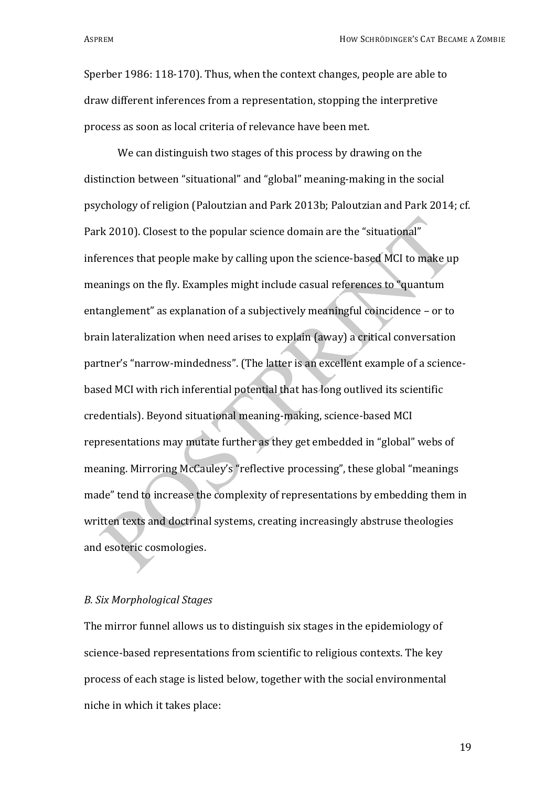Sperber 1986: 118-170). Thus, when the context changes, people are able to draw different inferences from a representation, stopping the interpretive process as soon as local criteria of relevance have been met.

We can distinguish two stages of this process by drawing on the distinction between "situational" and "global" meaning-making in the social psychology of religion (Paloutzian and Park 2013b; Paloutzian and Park 2014; cf. Park 2010). Closest to the popular science domain are the "situational" inferences that people make by calling upon the science-based MCI to make up meanings on the fly. Examples might include casual references to "quantum entanglement" as explanation of a subjectively meaningful coincidence – or to brain lateralization when need arises to explain (away) a critical conversation partner's "narrow-mindedness". (The latter is an excellent example of a sciencebased MCI with rich inferential potential that has long outlived its scientific credentials). Beyond situational meaning-making, science-based MCI representations may mutate further as they get embedded in "global" webs of meaning. Mirroring McCauley's "reflective processing", these global "meanings made" tend to increase the complexity of representations by embedding them in written texts and doctrinal systems, creating increasingly abstruse theologies and esoteric cosmologies.

## *B. Six Morphological Stages*

The mirror funnel allows us to distinguish six stages in the epidemiology of science-based representations from scientific to religious contexts. The key process of each stage is listed below, together with the social environmental niche in which it takes place: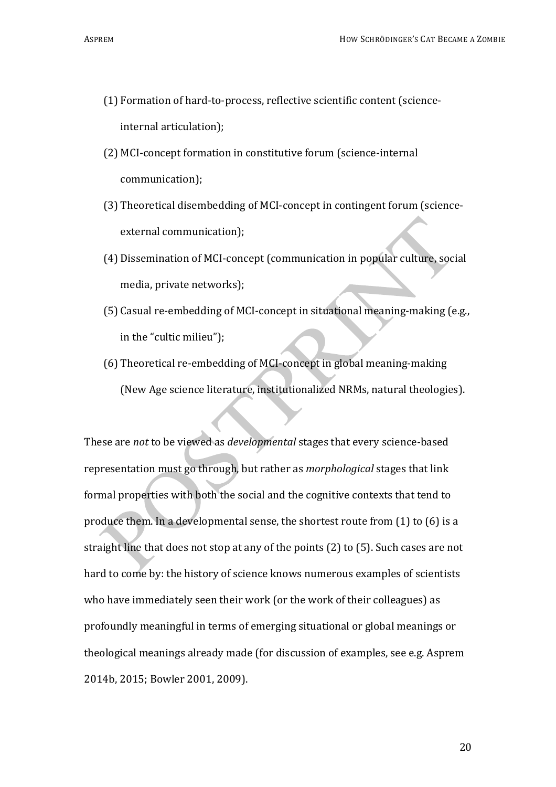- (1) Formation of hard-to-process, reflective scientific content (scienceinternal articulation);
- (2) MCI-concept formation in constitutive forum (science-internal communication);
- (3) Theoretical disembedding of MCI-concept in contingent forum (scienceexternal communication);
- (4) Dissemination of MCI-concept (communication in popular culture, social media, private networks);
- (5) Casual re-embedding of MCI-concept in situational meaning-making (e.g., in the "cultic milieu");
- (6) Theoretical re-embedding of MCI-concept in global meaning-making (New Age science literature, institutionalized NRMs, natural theologies).

These are *not* to be viewed as *developmental* stages that every science-based representation must go through, but rather as *morphological* stages that link formal properties with both the social and the cognitive contexts that tend to produce them. In a developmental sense, the shortest route from (1) to (6) is a straight line that does not stop at any of the points (2) to (5). Such cases are not hard to come by: the history of science knows numerous examples of scientists who have immediately seen their work (or the work of their colleagues) as profoundly meaningful in terms of emerging situational or global meanings or theological meanings already made (for discussion of examples, see e.g. Asprem 2014b, 2015; Bowler 2001, 2009).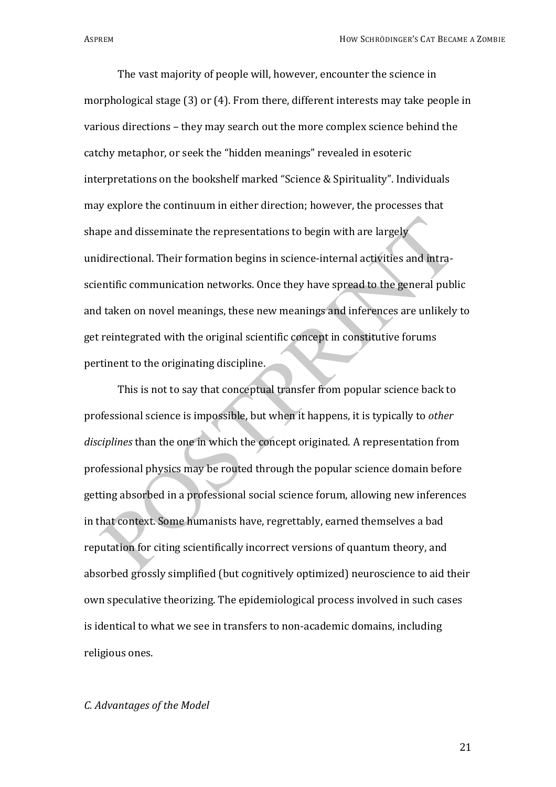The vast majority of people will, however, encounter the science in morphological stage (3) or (4). From there, different interests may take people in various directions – they may search out the more complex science behind the catchy metaphor, or seek the "hidden meanings" revealed in esoteric interpretations on the bookshelf marked "Science & Spirituality". Individuals may explore the continuum in either direction; however, the processes that shape and disseminate the representations to begin with are largely unidirectional. Their formation begins in science-internal activities and intrascientific communication networks. Once they have spread to the general public and taken on novel meanings, these new meanings and inferences are unlikely to get reintegrated with the original scientific concept in constitutive forums pertinent to the originating discipline.

This is not to say that conceptual transfer from popular science back to professional science is impossible, but when it happens, it is typically to *other disciplines* than the one in which the concept originated. A representation from professional physics may be routed through the popular science domain before getting absorbed in a professional social science forum, allowing new inferences in that context. Some humanists have, regrettably, earned themselves a bad reputation for citing scientifically incorrect versions of quantum theory, and absorbed grossly simplified (but cognitively optimized) neuroscience to aid their own speculative theorizing. The epidemiological process involved in such cases is identical to what we see in transfers to non-academic domains, including religious ones.

#### *C. Advantages of the Model*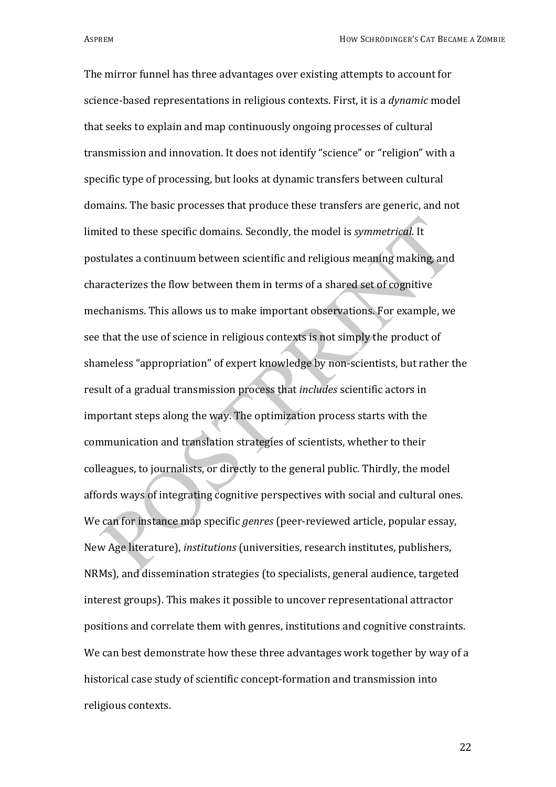The mirror funnel has three advantages over existing attempts to account for science-based representations in religious contexts. First, it is a *dynamic* model that seeks to explain and map continuously ongoing processes of cultural transmission and innovation. It does not identify "science" or "religion" with a specific type of processing, but looks at dynamic transfers between cultural domains. The basic processes that produce these transfers are generic, and not limited to these specific domains. Secondly, the model is *symmetrical.* It postulates a continuum between scientific and religious meaning making, and characterizes the flow between them in terms of a shared set of cognitive mechanisms. This allows us to make important observations. For example, we see that the use of science in religious contexts is not simply the product of shameless "appropriation" of expert knowledge by non-scientists, but rather the result of a gradual transmission process that *includes* scientific actors in important steps along the way. The optimization process starts with the communication and translation strategies of scientists, whether to their colleagues, to journalists, or directly to the general public. Thirdly, the model affords ways of integrating cognitive perspectives with social and cultural ones. We can for instance map specific *genres* (peer-reviewed article, popular essay, New Age literature), *institutions* (universities, research institutes, publishers, NRMs), and dissemination strategies (to specialists, general audience, targeted interest groups). This makes it possible to uncover representational attractor positions and correlate them with genres, institutions and cognitive constraints. We can best demonstrate how these three advantages work together by way of a historical case study of scientific concept-formation and transmission into religious contexts.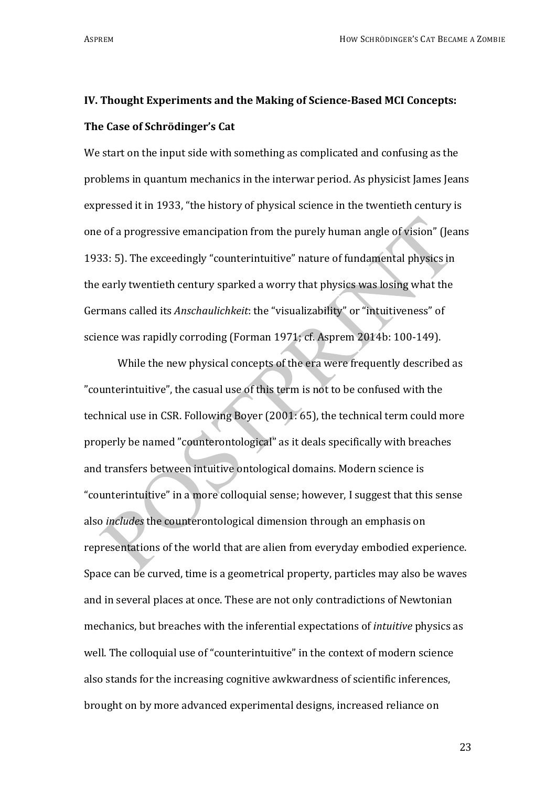## **IV. Thought Experiments and the Making of Science-Based MCI Concepts: The Case of Schrödinger's Cat**

We start on the input side with something as complicated and confusing as the problems in quantum mechanics in the interwar period. As physicist James Jeans expressed it in 1933, "the history of physical science in the twentieth century is one of a progressive emancipation from the purely human angle of vision" (Jeans 1933: 5). The exceedingly "counterintuitive" nature of fundamental physics in the early twentieth century sparked a worry that physics was losing what the Germans called its *Anschaulichkeit*: the "visualizability" or "intuitiveness" of science was rapidly corroding (Forman 1971; cf. Asprem 2014b: 100-149).

While the new physical concepts of the era were frequently described as "counterintuitive", the casual use of this term is not to be confused with the technical use in CSR. Following Boyer (2001: 65), the technical term could more properly be named "counterontological" as it deals specifically with breaches and transfers between intuitive ontological domains. Modern science is "counterintuitive" in a more colloquial sense; however, I suggest that this sense also *includes* the counterontological dimension through an emphasis on representations of the world that are alien from everyday embodied experience. Space can be curved, time is a geometrical property, particles may also be waves and in several places at once. These are not only contradictions of Newtonian mechanics, but breaches with the inferential expectations of *intuitive* physics as well. The colloquial use of "counterintuitive" in the context of modern science also stands for the increasing cognitive awkwardness of scientific inferences, brought on by more advanced experimental designs, increased reliance on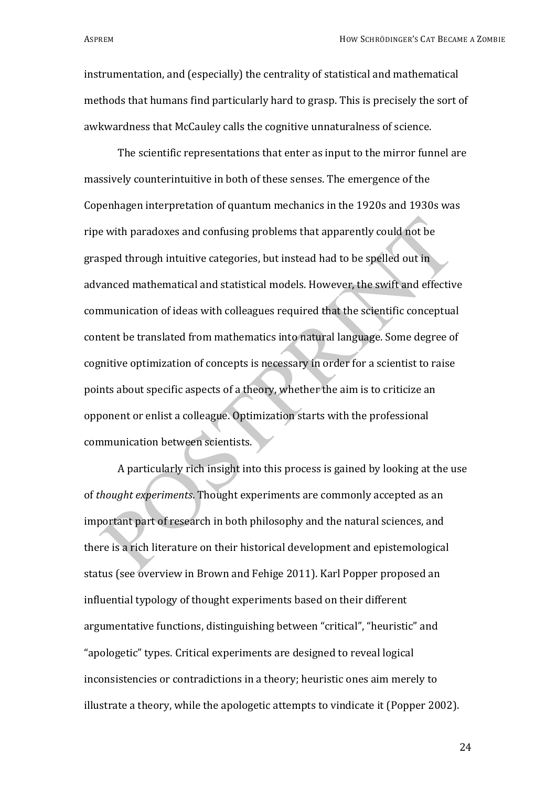ASPREM HOW SCHRÖDINGER'S CAT BECAME A ZOMBIE

instrumentation, and (especially) the centrality of statistical and mathematical methods that humans find particularly hard to grasp. This is precisely the sort of awkwardness that McCauley calls the cognitive unnaturalness of science.

The scientific representations that enter as input to the mirror funnel are massively counterintuitive in both of these senses. The emergence of the Copenhagen interpretation of quantum mechanics in the 1920s and 1930s was ripe with paradoxes and confusing problems that apparently could not be grasped through intuitive categories, but instead had to be spelled out in advanced mathematical and statistical models. However, the swift and effective communication of ideas with colleagues required that the scientific conceptual content be translated from mathematics into natural language. Some degree of cognitive optimization of concepts is necessary in order for a scientist to raise points about specific aspects of a theory, whether the aim is to criticize an opponent or enlist a colleague. Optimization starts with the professional communication between scientists.

A particularly rich insight into this process is gained by looking at the use of *thought experiments*. Thought experiments are commonly accepted as an important part of research in both philosophy and the natural sciences, and there is a rich literature on their historical development and epistemological status (see overview in Brown and Fehige 2011). Karl Popper proposed an influential typology of thought experiments based on their different argumentative functions, distinguishing between "critical", "heuristic" and "apologetic" types. Critical experiments are designed to reveal logical inconsistencies or contradictions in a theory; heuristic ones aim merely to illustrate a theory, while the apologetic attempts to vindicate it (Popper 2002).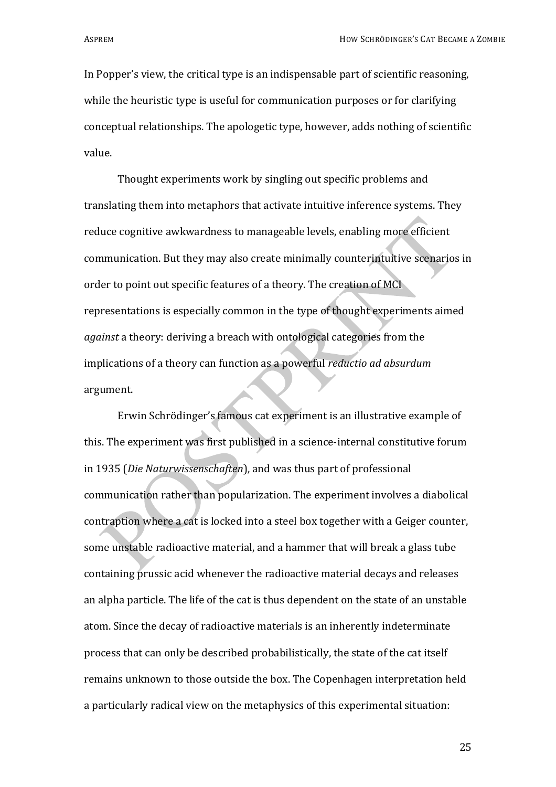In Popper's view, the critical type is an indispensable part of scientific reasoning, while the heuristic type is useful for communication purposes or for clarifying conceptual relationships. The apologetic type, however, adds nothing of scientific value.

Thought experiments work by singling out specific problems and translating them into metaphors that activate intuitive inference systems. They reduce cognitive awkwardness to manageable levels, enabling more efficient communication. But they may also create minimally counterintuitive scenarios in order to point out specific features of a theory. The creation of MCI representations is especially common in the type of thought experiments aimed *against* a theory: deriving a breach with ontological categories from the implications of a theory can function as a powerful *reductio ad absurdum* argument.

Erwin Schrödinger's famous cat experiment is an illustrative example of this. The experiment was first published in a science-internal constitutive forum in 1935 (*Die Naturwissenschaften*), and was thus part of professional communication rather than popularization. The experiment involves a diabolical contraption where a cat is locked into a steel box together with a Geiger counter, some unstable radioactive material, and a hammer that will break a glass tube containing prussic acid whenever the radioactive material decays and releases an alpha particle. The life of the cat is thus dependent on the state of an unstable atom. Since the decay of radioactive materials is an inherently indeterminate process that can only be described probabilistically, the state of the cat itself remains unknown to those outside the box. The Copenhagen interpretation held a particularly radical view on the metaphysics of this experimental situation: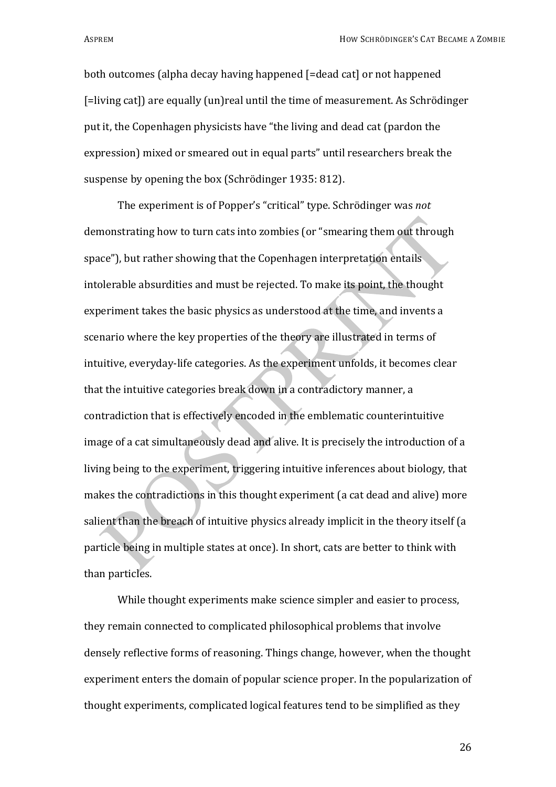both outcomes (alpha decay having happened [=dead cat] or not happened [=living cat]) are equally (un)real until the time of measurement. As Schrödinger put it, the Copenhagen physicists have "the living and dead cat (pardon the expression) mixed or smeared out in equal parts" until researchers break the suspense by opening the box (Schrödinger 1935: 812).

The experiment is of Popper's "critical" type. Schrödinger was *not* demonstrating how to turn cats into zombies (or "smearing them out through space"), but rather showing that the Copenhagen interpretation entails intolerable absurdities and must be rejected. To make its point, the thought experiment takes the basic physics as understood at the time, and invents a scenario where the key properties of the theory are illustrated in terms of intuitive, everyday-life categories. As the experiment unfolds, it becomes clear that the intuitive categories break down in a contradictory manner, a contradiction that is effectively encoded in the emblematic counterintuitive image of a cat simultaneously dead and alive. It is precisely the introduction of a living being to the experiment, triggering intuitive inferences about biology, that makes the contradictions in this thought experiment (a cat dead and alive) more salient than the breach of intuitive physics already implicit in the theory itself (a particle being in multiple states at once). In short, cats are better to think with than particles.

While thought experiments make science simpler and easier to process, they remain connected to complicated philosophical problems that involve densely reflective forms of reasoning. Things change, however, when the thought experiment enters the domain of popular science proper. In the popularization of thought experiments, complicated logical features tend to be simplified as they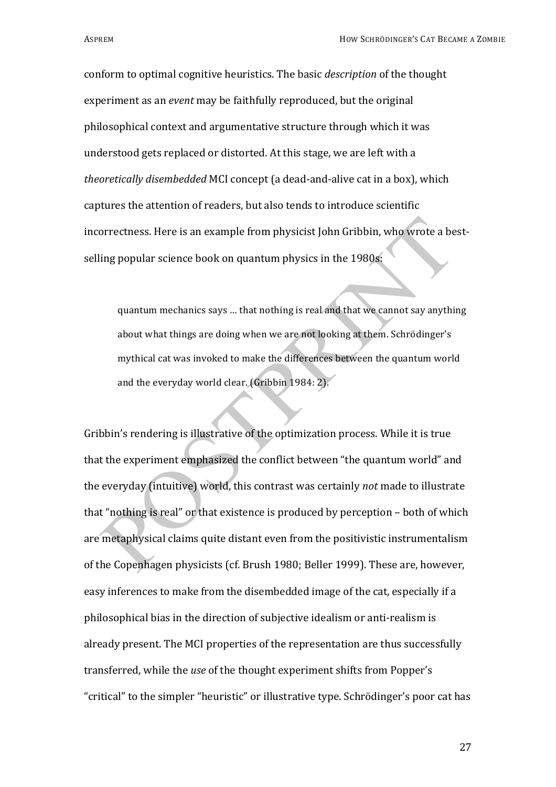conform to optimal cognitive heuristics. The basic *description* of the thought experiment as an *event* may be faithfully reproduced, but the original philosophical context and argumentative structure through which it was understood gets replaced or distorted. At this stage, we are left with a *theoretically disembedded* MCI concept (a dead-and-alive cat in a box), which captures the attention of readers, but also tends to introduce scientific incorrectness. Here is an example from physicist John Gribbin, who wrote a bestselling popular science book on quantum physics in the 1980s:

quantum mechanics says … that nothing is real and that we cannot say anything about what things are doing when we are not looking at them. Schrödinger's mythical cat was invoked to make the differences between the quantum world and the everyday world clear. (Gribbin 1984: 2).

Gribbin's rendering is illustrative of the optimization process. While it is true that the experiment emphasized the conflict between "the quantum world" and the everyday (intuitive) world, this contrast was certainly *not* made to illustrate that "nothing is real" or that existence is produced by perception – both of which are metaphysical claims quite distant even from the positivistic instrumentalism of the Copenhagen physicists (cf. Brush 1980; Beller 1999). These are, however, easy inferences to make from the disembedded image of the cat, especially if a philosophical bias in the direction of subjective idealism or anti-realism is already present. The MCI properties of the representation are thus successfully transferred, while the *use* of the thought experiment shifts from Popper's "critical" to the simpler "heuristic" or illustrative type. Schrödinger's poor cat has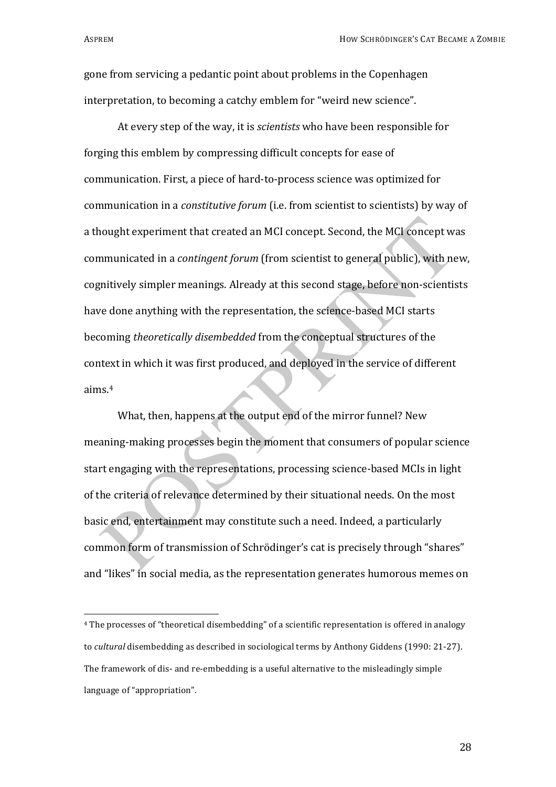$\overline{a}$ 

gone from servicing a pedantic point about problems in the Copenhagen interpretation, to becoming a catchy emblem for "weird new science".

At every step of the way, it is *scientists* who have been responsible for forging this emblem by compressing difficult concepts for ease of communication. First, a piece of hard-to-process science was optimized for communication in a *constitutive forum* (i.e. from scientist to scientists) by way of a thought experiment that created an MCI concept. Second, the MCI concept was communicated in a *contingent forum* (from scientist to general public), with new, cognitively simpler meanings. Already at this second stage, before non-scientists have done anything with the representation, the science-based MCI starts becoming *theoretically disembedded* from the conceptual structures of the context in which it was first produced, and deployed in the service of different aims.4

What, then, happens at the output end of the mirror funnel? New meaning-making processes begin the moment that consumers of popular science start engaging with the representations, processing science-based MCIs in light of the criteria of relevance determined by their situational needs. On the most basic end, entertainment may constitute such a need. Indeed, a particularly common form of transmission of Schrödinger's cat is precisely through "shares" and "likes" in social media, as the representation generates humorous memes on

<sup>4</sup> The processes of "theoretical disembedding" of a scientific representation is offered in analogy to *cultural* disembedding as described in sociological terms by Anthony Giddens (1990: 21-27). The framework of dis- and re-embedding is a useful alternative to the misleadingly simple language of "appropriation".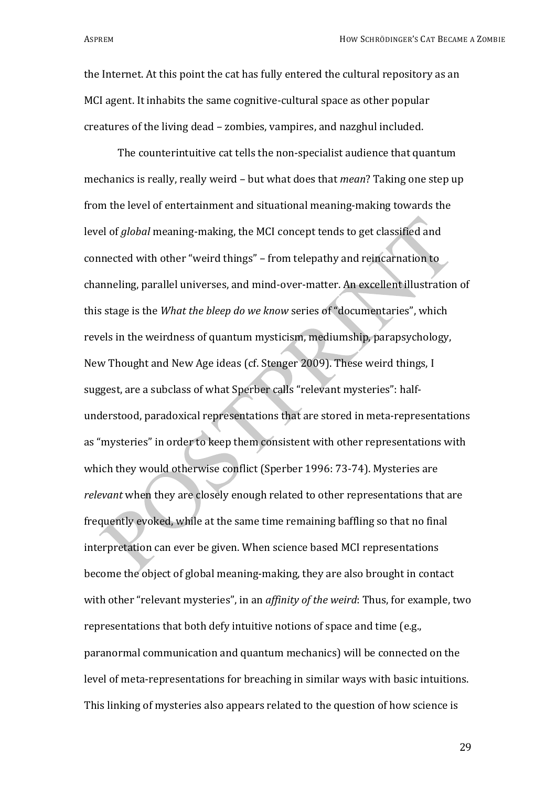the Internet. At this point the cat has fully entered the cultural repository as an MCI agent. It inhabits the same cognitive-cultural space as other popular creatures of the living dead – zombies, vampires, and nazghul included.

The counterintuitive cat tells the non-specialist audience that quantum mechanics is really, really weird – but what does that *mean*? Taking one step up from the level of entertainment and situational meaning-making towards the level of *global* meaning-making, the MCI concept tends to get classified and connected with other "weird things" – from telepathy and reincarnation to channeling, parallel universes, and mind-over-matter. An excellent illustration of this stage is the *What the bleep do we know* series of "documentaries", which revels in the weirdness of quantum mysticism, mediumship, parapsychology, New Thought and New Age ideas (cf. Stenger 2009). These weird things, I suggest, are a subclass of what Sperber calls "relevant mysteries": halfunderstood, paradoxical representations that are stored in meta-representations as "mysteries" in order to keep them consistent with other representations with which they would otherwise conflict (Sperber 1996: 73-74). Mysteries are *relevant* when they are closely enough related to other representations that are frequently evoked, while at the same time remaining baffling so that no final interpretation can ever be given. When science based MCI representations become the object of global meaning-making, they are also brought in contact with other "relevant mysteries", in an *affinity of the weird*: Thus, for example, two representations that both defy intuitive notions of space and time (e.g., paranormal communication and quantum mechanics) will be connected on the level of meta-representations for breaching in similar ways with basic intuitions. This linking of mysteries also appears related to the question of how science is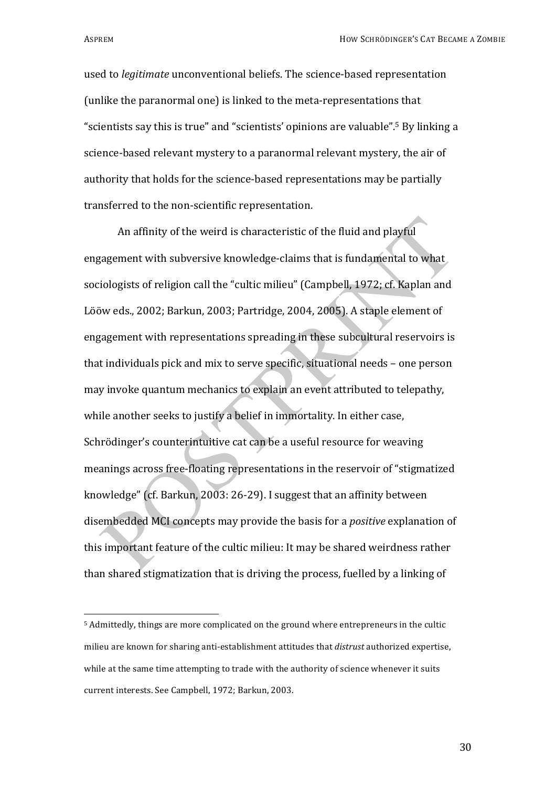$\overline{a}$ 

used to *legitimate* unconventional beliefs. The science-based representation (unlike the paranormal one) is linked to the meta-representations that "scientists say this is true" and "scientists' opinions are valuable". <sup>5</sup> By linking a science-based relevant mystery to a paranormal relevant mystery, the air of authority that holds for the science-based representations may be partially transferred to the non-scientific representation.

An affinity of the weird is characteristic of the fluid and playful engagement with subversive knowledge-claims that is fundamental to what sociologists of religion call the "cultic milieu" (Campbell, 1972; cf. Kaplan and Lööw eds., 2002; Barkun, 2003; Partridge, 2004, 2005). A staple element of engagement with representations spreading in these subcultural reservoirs is that individuals pick and mix to serve specific, situational needs – one person may invoke quantum mechanics to explain an event attributed to telepathy, while another seeks to justify a belief in immortality. In either case, Schrödinger's counterintuitive cat can be a useful resource for weaving meanings across free-floating representations in the reservoir of "stigmatized knowledge" (cf. Barkun, 2003: 26-29). I suggest that an affinity between disembedded MCI concepts may provide the basis for a *positive* explanation of this important feature of the cultic milieu: It may be shared weirdness rather than shared stigmatization that is driving the process, fuelled by a linking of

<sup>5</sup> Admittedly, things are more complicated on the ground where entrepreneurs in the cultic milieu are known for sharing anti-establishment attitudes that *distrust* authorized expertise, while at the same time attempting to trade with the authority of science whenever it suits current interests. See Campbell, 1972; Barkun, 2003.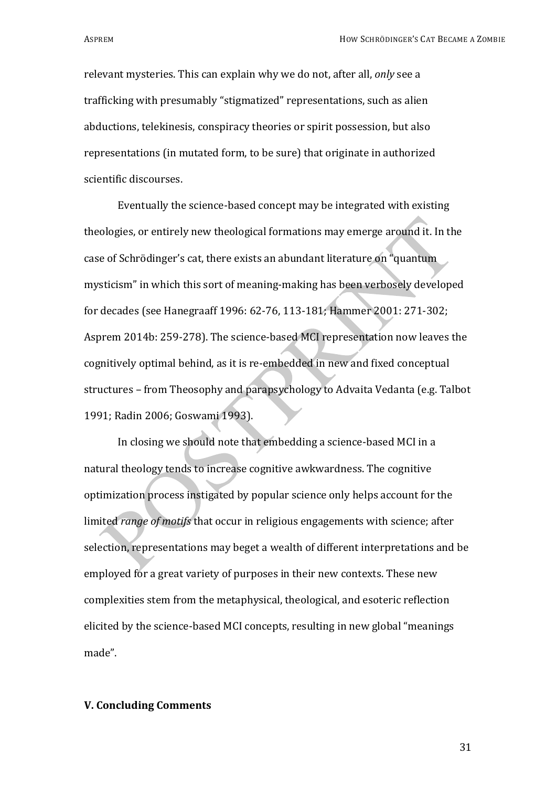relevant mysteries. This can explain why we do not, after all, *only* see a trafficking with presumably "stigmatized" representations, such as alien abductions, telekinesis, conspiracy theories or spirit possession, but also representations (in mutated form, to be sure) that originate in authorized scientific discourses.

Eventually the science-based concept may be integrated with existing theologies, or entirely new theological formations may emerge around it. In the case of Schrödinger's cat, there exists an abundant literature on "quantum mysticism" in which this sort of meaning-making has been verbosely developed for decades (see Hanegraaff 1996: 62-76, 113-181; Hammer 2001: 271-302; Asprem 2014b: 259-278). The science-based MCI representation now leaves the cognitively optimal behind, as it is re-embedded in new and fixed conceptual structures – from Theosophy and parapsychology to Advaita Vedanta (e.g. Talbot 1991; Radin 2006; Goswami 1993).

In closing we should note that embedding a science-based MCI in a natural theology tends to increase cognitive awkwardness. The cognitive optimization process instigated by popular science only helps account for the limited *range of motifs* that occur in religious engagements with science; after selection, representations may beget a wealth of different interpretations and be employed for a great variety of purposes in their new contexts. These new complexities stem from the metaphysical, theological, and esoteric reflection elicited by the science-based MCI concepts, resulting in new global "meanings made".

#### **V. Concluding Comments**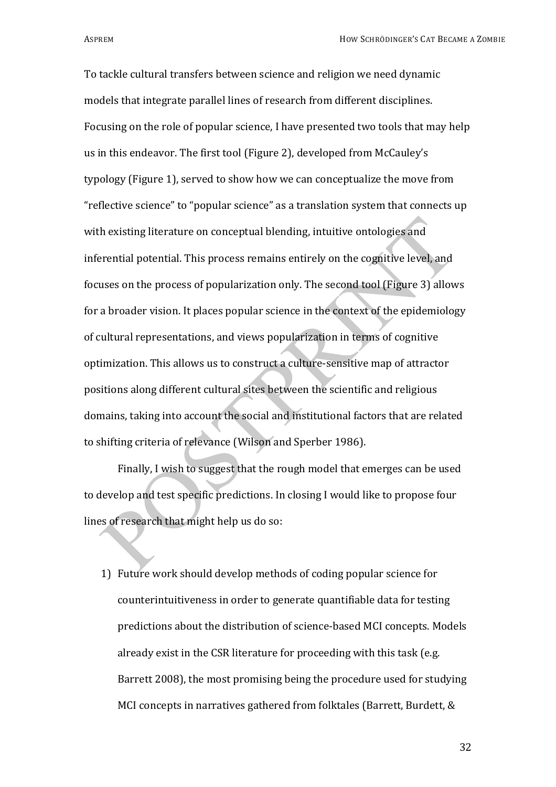To tackle cultural transfers between science and religion we need dynamic models that integrate parallel lines of research from different disciplines. Focusing on the role of popular science, I have presented two tools that may help us in this endeavor. The first tool (Figure 2), developed from McCauley's typology (Figure 1), served to show how we can conceptualize the move from "reflective science" to "popular science" as a translation system that connects up with existing literature on conceptual blending, intuitive ontologies and inferential potential. This process remains entirely on the cognitive level, and focuses on the process of popularization only. The second tool (Figure 3) allows for a broader vision. It places popular science in the context of the epidemiology of cultural representations, and views popularization in terms of cognitive optimization. This allows us to construct a culture-sensitive map of attractor positions along different cultural sites between the scientific and religious domains, taking into account the social and institutional factors that are related to shifting criteria of relevance (Wilson and Sperber 1986).

Finally, I wish to suggest that the rough model that emerges can be used to develop and test specific predictions. In closing I would like to propose four lines of research that might help us do so:

1) Future work should develop methods of coding popular science for counterintuitiveness in order to generate quantifiable data for testing predictions about the distribution of science-based MCI concepts. Models already exist in the CSR literature for proceeding with this task (e.g. Barrett 2008), the most promising being the procedure used for studying MCI concepts in narratives gathered from folktales (Barrett, Burdett, &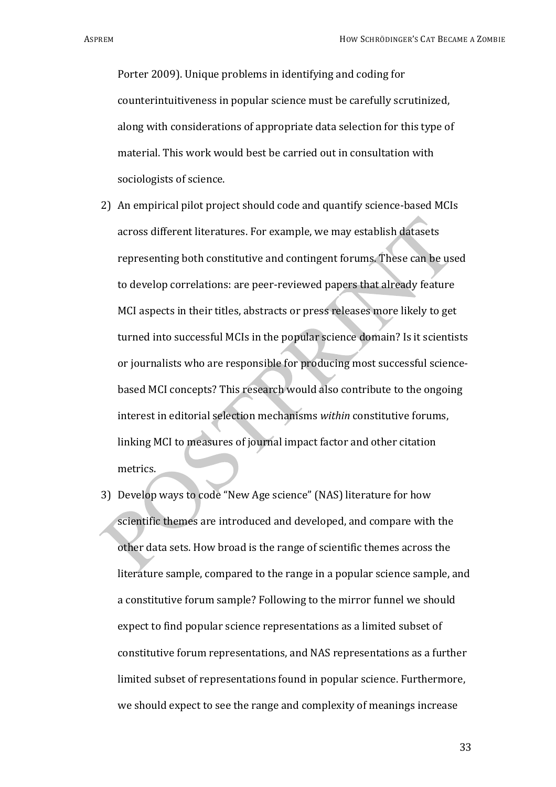Porter 2009). Unique problems in identifying and coding for counterintuitiveness in popular science must be carefully scrutinized, along with considerations of appropriate data selection for this type of material. This work would best be carried out in consultation with sociologists of science.

- 2) An empirical pilot project should code and quantify science-based MCIs across different literatures. For example, we may establish datasets representing both constitutive and contingent forums. These can be used to develop correlations: are peer-reviewed papers that already feature MCI aspects in their titles, abstracts or press releases more likely to get turned into successful MCIs in the popular science domain? Is it scientists or journalists who are responsible for producing most successful sciencebased MCI concepts? This research would also contribute to the ongoing interest in editorial selection mechanisms *within* constitutive forums, linking MCI to measures of journal impact factor and other citation metrics.
- 3) Develop ways to code "New Age science" (NAS) literature for how scientific themes are introduced and developed, and compare with the other data sets. How broad is the range of scientific themes across the literature sample, compared to the range in a popular science sample, and a constitutive forum sample? Following to the mirror funnel we should expect to find popular science representations as a limited subset of constitutive forum representations, and NAS representations as a further limited subset of representations found in popular science. Furthermore, we should expect to see the range and complexity of meanings increase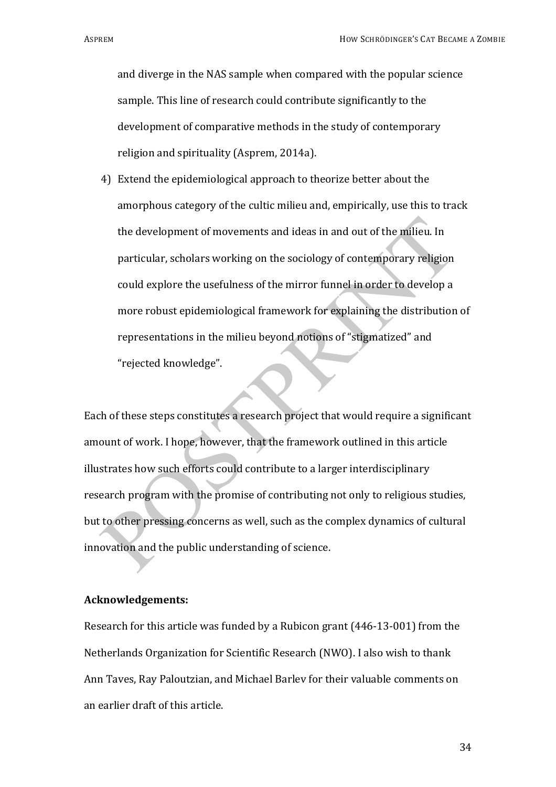and diverge in the NAS sample when compared with the popular science sample. This line of research could contribute significantly to the development of comparative methods in the study of contemporary religion and spirituality (Asprem, 2014a).

4) Extend the epidemiological approach to theorize better about the amorphous category of the cultic milieu and, empirically, use this to track the development of movements and ideas in and out of the milieu. In particular, scholars working on the sociology of contemporary religion could explore the usefulness of the mirror funnel in order to develop a more robust epidemiological framework for explaining the distribution of representations in the milieu beyond notions of "stigmatized" and "rejected knowledge".

Each of these steps constitutes a research project that would require a significant amount of work. I hope, however, that the framework outlined in this article illustrates how such efforts could contribute to a larger interdisciplinary research program with the promise of contributing not only to religious studies, but to other pressing concerns as well, such as the complex dynamics of cultural innovation and the public understanding of science.

### **Acknowledgements:**

Research for this article was funded by a Rubicon grant (446-13-001) from the Netherlands Organization for Scientific Research (NWO). I also wish to thank Ann Taves, Ray Paloutzian, and Michael Barlev for their valuable comments on an earlier draft of this article.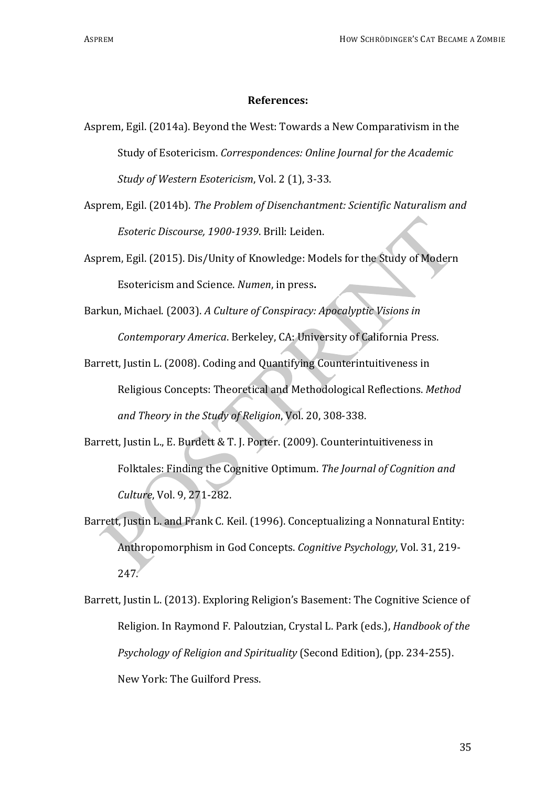#### **References:**

- Asprem, Egil. (2014a). Beyond the West: Towards a New Comparativism in the Study of Esotericism. *Correspondences: Online Journal for the Academic Study of Western Esotericism*, Vol. 2 (1), 3-33.
- Asprem, Egil. (2014b). *The Problem of Disenchantment: Scientific Naturalism and Esoteric Discourse, 1900-1939*. Brill: Leiden.

Asprem, Egil. (2015). Dis/Unity of Knowledge: Models for the Study of Modern Esotericism and Science. *Numen*, in press**.**

Barkun, Michael. (2003). *A Culture of Conspiracy: Apocalyptic Visions in Contemporary America*. Berkeley, CA: University of California Press.

- Barrett, Justin L. (2008). Coding and Quantifying Counterintuitiveness in Religious Concepts: Theoretical and Methodological Reflections. *Method and Theory in the Study of Religion*, Vol. 20, 308-338.
- Barrett, Justin L., E. Burdett & T. J. Porter. (2009). Counterintuitiveness in Folktales: Finding the Cognitive Optimum. *The Journal of Cognition and Culture*, Vol. 9, 271-282.
- Barrett, Justin L. and Frank C. Keil. (1996). Conceptualizing a Nonnatural Entity: Anthropomorphism in God Concepts. *Cognitive Psychology*, Vol. 31, 219- 247.
- Barrett, Justin L. (2013). Exploring Religion's Basement: The Cognitive Science of Religion. In Raymond F. Paloutzian, Crystal L. Park (eds.), *Handbook of the Psychology of Religion and Spirituality* (Second Edition), (pp. 234-255). New York: The Guilford Press.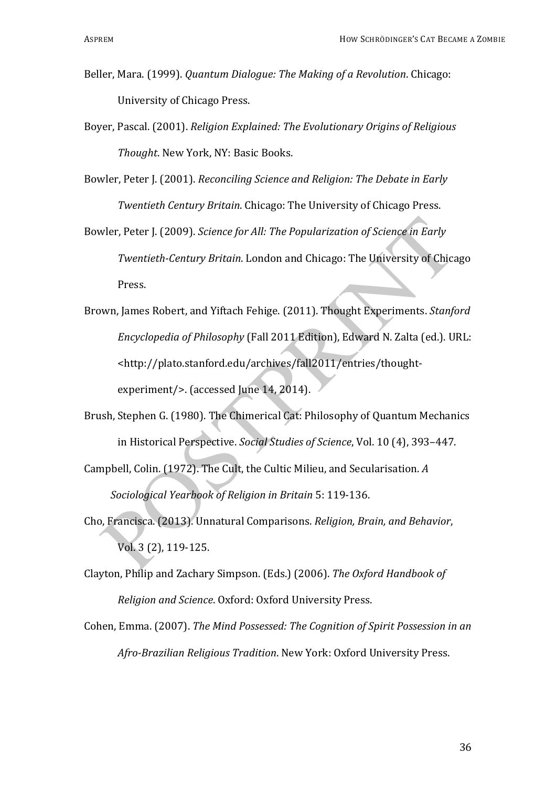- Beller, Mara. (1999). *Quantum Dialogue: The Making of a Revolution*. Chicago: University of Chicago Press.
- Boyer, Pascal. (2001). *Religion Explained: The Evolutionary Origins of Religious Thought*. New York, NY: Basic Books.

Bowler, Peter J. (2001). *Reconciling Science and Religion: The Debate in Early Twentieth Century Britain*. Chicago: The University of Chicago Press.

- Bowler, Peter J. (2009). *Science for All: The Popularization of Science in Early Twentieth-Century Britain*. London and Chicago: The University of Chicago Press.
- Brown, James Robert, and Yiftach Fehige. (2011). Thought Experiments. *Stanford Encyclopedia of Philosophy* (Fall 2011 Edition), Edward N. Zalta (ed.). URL: <http://plato.stanford.edu/archives/fall2011/entries/thoughtexperiment/>. (accessed June 14, 2014).
- Brush, Stephen G. (1980). The Chimerical Cat: Philosophy of Quantum Mechanics in Historical Perspective. *Social Studies of Science*, Vol. 10 (4), 393–447.
- Campbell, Colin. (1972). The Cult, the Cultic Milieu, and Secularisation. *A Sociological Yearbook of Religion in Britain* 5: 119-136.
- Cho, Francisca. (2013). Unnatural Comparisons. *Religion, Brain, and Behavior*, Vol. 3 (2), 119-125.
- Clayton, Philip and Zachary Simpson. (Eds.) (2006). *The Oxford Handbook of Religion and Science*. Oxford: Oxford University Press.
- Cohen, Emma. (2007). *The Mind Possessed: The Cognition of Spirit Possession in an Afro-Brazilian Religious Tradition*. New York: Oxford University Press.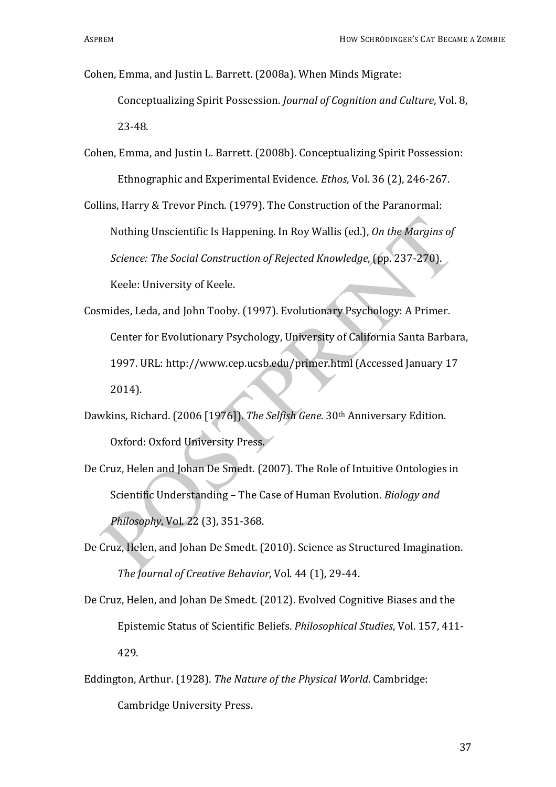Cohen, Emma, and Justin L. Barrett. (2008a). When Minds Migrate:

Conceptualizing Spirit Possession. *Journal of Cognition and Culture*, Vol. 8, 23-48.

Cohen, Emma, and Justin L. Barrett. (2008b). Conceptualizing Spirit Possession: Ethnographic and Experimental Evidence. *Ethos*, Vol. 36 (2), 246-267.

Collins, Harry & Trevor Pinch. (1979). The Construction of the Paranormal: Nothing Unscientific Is Happening. In Roy Wallis (ed.), *On the Margins of Science: The Social Construction of Rejected Knowledge*, (pp. 237-270). Keele: University of Keele.

Cosmides, Leda, and John Tooby. (1997). Evolutionary Psychology: A Primer. Center for Evolutionary Psychology, University of California Santa Barbara, 1997. URL: http://www.cep.ucsb.edu/primer.html (Accessed January 17 2014).

Dawkins, Richard. (2006 [1976]). *The Selfish Gene*. 30th Anniversary Edition. Oxford: Oxford University Press.

De Cruz, Helen and Johan De Smedt. (2007). The Role of Intuitive Ontologies in Scientific Understanding – The Case of Human Evolution. *Biology and Philosophy*, Vol. 22 (3), 351-368.

De Cruz, Helen, and Johan De Smedt. (2010). Science as Structured Imagination. *The Journal of Creative Behavior*, Vol. 44 (1), 29-44.

De Cruz, Helen, and Johan De Smedt. (2012). Evolved Cognitive Biases and the Epistemic Status of Scientific Beliefs. *Philosophical Studies*, Vol. 157, 411- 429.

Eddington, Arthur. (1928). *The Nature of the Physical World*. Cambridge: Cambridge University Press.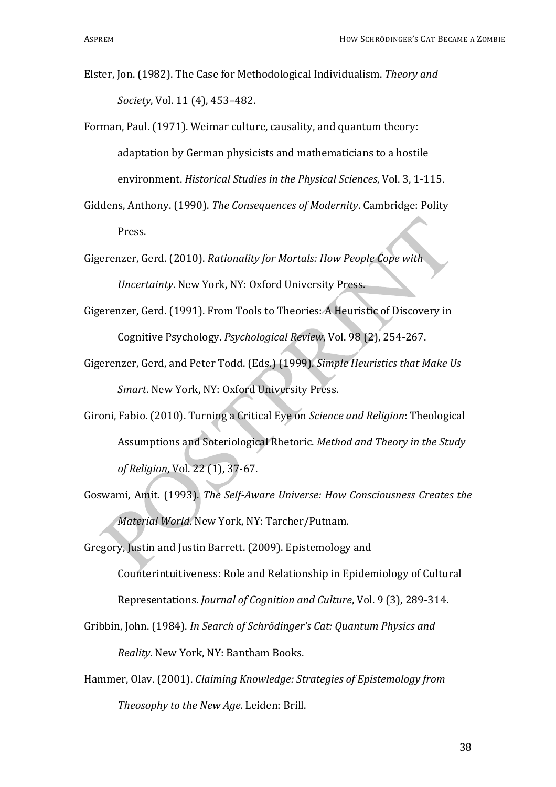- Elster, Jon. (1982). The Case for Methodological Individualism. *Theory and Society*, Vol. 11 (4), 453–482.
- Forman, Paul. (1971). Weimar culture, causality, and quantum theory: adaptation by German physicists and mathematicians to a hostile environment. *Historical Studies in the Physical Sciences*, Vol. 3, 1-115.
- Giddens, Anthony. (1990). *The Consequences of Modernity*. Cambridge: Polity Press.
- Gigerenzer, Gerd. (2010). *Rationality for Mortals: How People Cope with Uncertainty*. New York, NY: Oxford University Press.
- Gigerenzer, Gerd. (1991). From Tools to Theories: A Heuristic of Discovery in Cognitive Psychology. *Psychological Review*, Vol. 98 (2), 254-267.
- Gigerenzer, Gerd, and Peter Todd. (Eds.) (1999). *Simple Heuristics that Make Us Smart*. New York, NY: Oxford University Press.
- Gironi, Fabio. (2010). Turning a Critical Eye on *Science and Religion*: Theological Assumptions and Soteriological Rhetoric. *Method and Theory in the Study of Religion*, Vol. 22 (1), 37-67.
- Goswami, Amit. (1993). *The Self-Aware Universe: How Consciousness Creates the Material World*. New York, NY: Tarcher/Putnam.

Gregory, Justin and Justin Barrett. (2009). Epistemology and Counterintuitiveness: Role and Relationship in Epidemiology of Cultural Representations. *Journal of Cognition and Culture*, Vol. 9 (3), 289-314.

- Gribbin, John. (1984). *In Search of Schrödinger's Cat: Quantum Physics and Reality*. New York, NY: Bantham Books.
- Hammer, Olav. (2001). *Claiming Knowledge: Strategies of Epistemology from Theosophy to the New Age*. Leiden: Brill.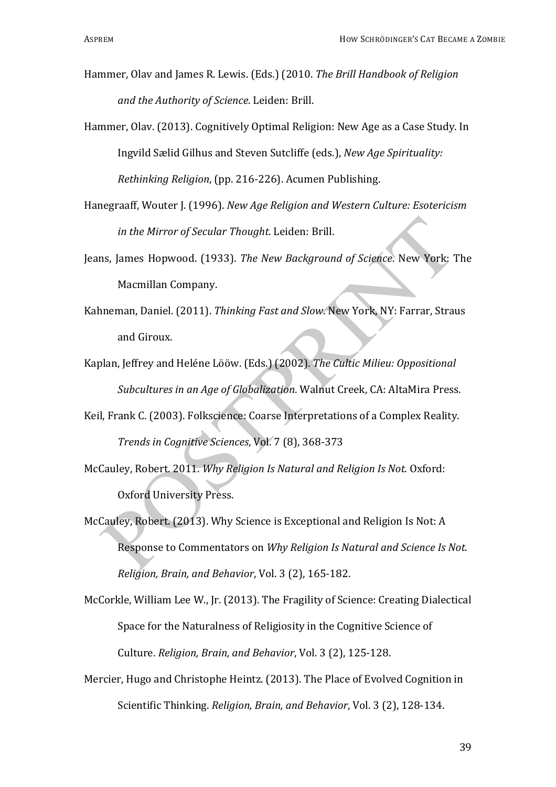- Hammer, Olav and James R. Lewis. (Eds.) (2010. *The Brill Handbook of Religion and the Authority of Science*. Leiden: Brill.
- Hammer, Olav. (2013). Cognitively Optimal Religion: New Age as a Case Study. In Ingvild Sælid Gilhus and Steven Sutcliffe (eds.), *New Age Spirituality: Rethinking Religion*, (pp. 216-226). Acumen Publishing.
- Hanegraaff, Wouter J. (1996). *New Age Religion and Western Culture: Esotericism in the Mirror of Secular Thought*. Leiden: Brill.
- Jeans, James Hopwood. (1933). *The New Background of Science*. New York: The Macmillan Company.
- Kahneman, Daniel. (2011). *Thinking Fast and Slow*. New York, NY: Farrar, Straus and Giroux.
- Kaplan, Jeffrey and Heléne Lööw. (Eds.) (2002). *The Cultic Milieu: Oppositional Subcultures in an Age of Globalization*. Walnut Creek, CA: AltaMira Press.
- Keil, Frank C. (2003). Folkscience: Coarse Interpretations of a Complex Reality. *Trends in Cognitive Sciences*, Vol. 7 (8), 368-373
- McCauley, Robert. 2011. *Why Religion Is Natural and Religion Is Not*. Oxford: Oxford University Press.
- McCauley, Robert. (2013). Why Science is Exceptional and Religion Is Not: A Response to Commentators on *Why Religion Is Natural and Science Is Not*. *Religion, Brain, and Behavior*, Vol. 3 (2), 165-182.
- McCorkle, William Lee W., Jr. (2013). The Fragility of Science: Creating Dialectical Space for the Naturalness of Religiosity in the Cognitive Science of Culture. *Religion, Brain, and Behavior*, Vol. 3 (2), 125-128.
- Mercier, Hugo and Christophe Heintz. (2013). The Place of Evolved Cognition in Scientific Thinking. *Religion, Brain, and Behavior*, Vol. 3 (2), 128-134.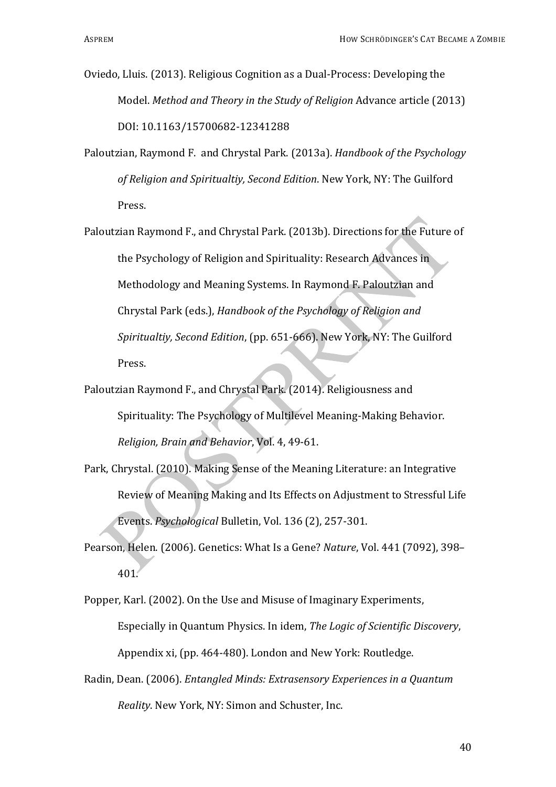Oviedo, Lluis. (2013). Religious Cognition as a Dual-Process: Developing the Model. *Method and Theory in the Study of Religion* Advance article (2013) DOI: 10.1163/15700682-12341288

Paloutzian, Raymond F. and Chrystal Park. (2013a). *Handbook of the Psychology of Religion and Spiritualtiy, Second Edition*. New York, NY: The Guilford Press.

Paloutzian Raymond F., and Chrystal Park. (2013b). Directions for the Future of the Psychology of Religion and Spirituality: Research Advances in Methodology and Meaning Systems. In Raymond F. Paloutzian and Chrystal Park (eds.), *Handbook of the Psychology of Religion and Spiritualtiy, Second Edition*, (pp. 651-666). New York, NY: The Guilford Press.

Paloutzian Raymond F., and Chrystal Park. (2014). Religiousness and Spirituality: The Psychology of Multilevel Meaning-Making Behavior. *Religion, Brain and Behavior*, Vol. 4, 49-61.

Park, Chrystal. (2010). Making Sense of the Meaning Literature: an Integrative Review of Meaning Making and Its Effects on Adjustment to Stressful Life Events. *Psychological* Bulletin, Vol. 136 (2), 257-301.

Pearson, Helen. (2006). Genetics: What Is a Gene? *Nature*, Vol. 441 (7092), 398– 401.

Popper, Karl. (2002). On the Use and Misuse of Imaginary Experiments, Especially in Quantum Physics. In idem, *The Logic of Scientific Discovery*, Appendix xi, (pp. 464-480). London and New York: Routledge.

Radin, Dean. (2006). *Entangled Minds: Extrasensory Experiences in a Quantum Reality*. New York, NY: Simon and Schuster, Inc.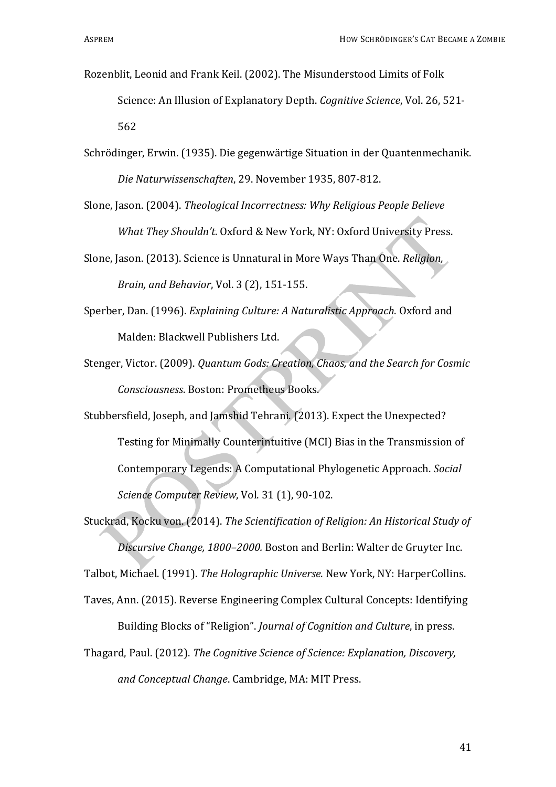- Rozenblit, Leonid and Frank Keil. (2002). The Misunderstood Limits of Folk Science: An Illusion of Explanatory Depth. *Cognitive Science*, Vol. 26, 521- 562
- Schrödinger, Erwin. (1935). Die gegenwärtige Situation in der Quantenmechanik. *Die Naturwissenschaften*, 29. November 1935, 807-812.
- Slone, Jason. (2004). *Theological Incorrectness: Why Religious People Believe What They Shouldn't*. Oxford & New York, NY: Oxford University Press.
- Slone, Jason. (2013). Science is Unnatural in More Ways Than One. *Religion, Brain, and Behavior*, Vol. 3 (2), 151-155.
- Sperber, Dan. (1996). *Explaining Culture: A Naturalistic Approach*. Oxford and Malden: Blackwell Publishers Ltd.
- Stenger, Victor. (2009). *Quantum Gods: Creation, Chaos, and the Search for Cosmic Consciousness*. Boston: Prometheus Books.
- Stubbersfield, Joseph, and Jamshid Tehrani. (2013). Expect the Unexpected? Testing for Minimally Counterintuitive (MCI) Bias in the Transmission of Contemporary Legends: A Computational Phylogenetic Approach. *Social Science Computer Review*, Vol. 31 (1), 90-102.
- Stuckrad, Kocku von. (2014). *The Scientification of Religion: An Historical Study of Discursive Change, 1800–2000.* Boston and Berlin: Walter de Gruyter Inc.

Talbot, Michael. (1991). *The Holographic Universe*. New York, NY: HarperCollins.

- Taves, Ann. (2015). Reverse Engineering Complex Cultural Concepts: Identifying Building Blocks of "Religion". *Journal of Cognition and Culture*, in press.
- Thagard, Paul. (2012). *The Cognitive Science of Science: Explanation, Discovery, and Conceptual Change*. Cambridge, MA: MIT Press.